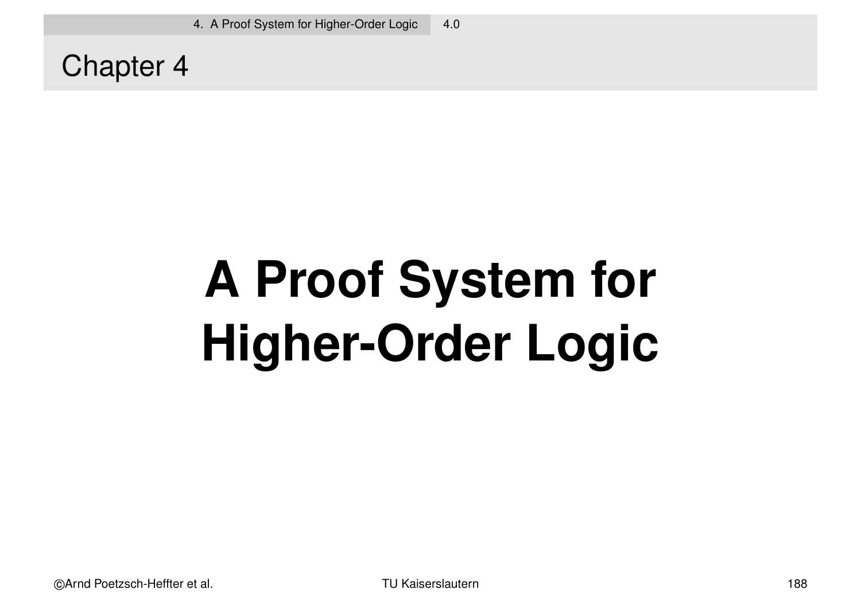Chapter 4

# **A Proof System for Higher-Order Logic**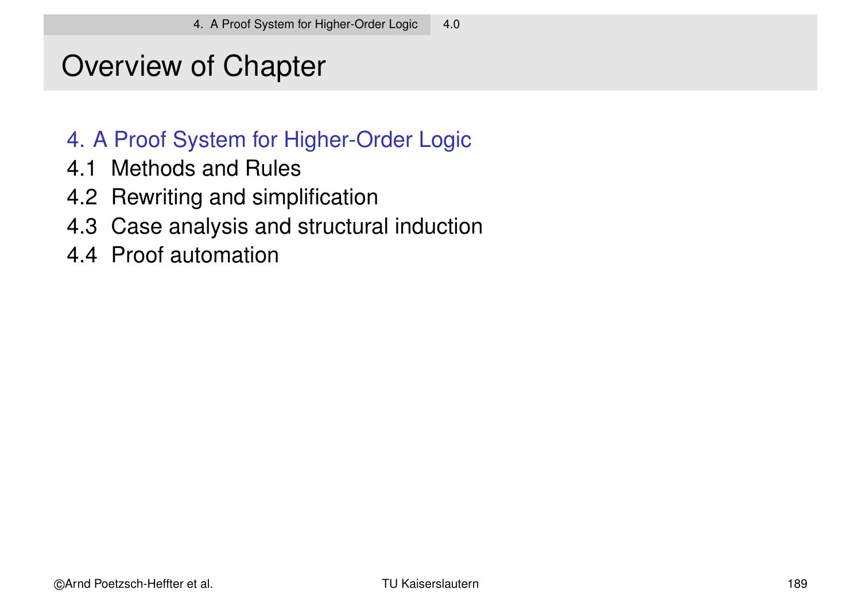# Overview of Chapter

#### 4. A Proof System for Higher-Order Logic

- 4.1 Methods and Rules
- 4.2 Rewriting and simplification
- 4.3 Case analysis and structural induction
- 4.4 Proof automation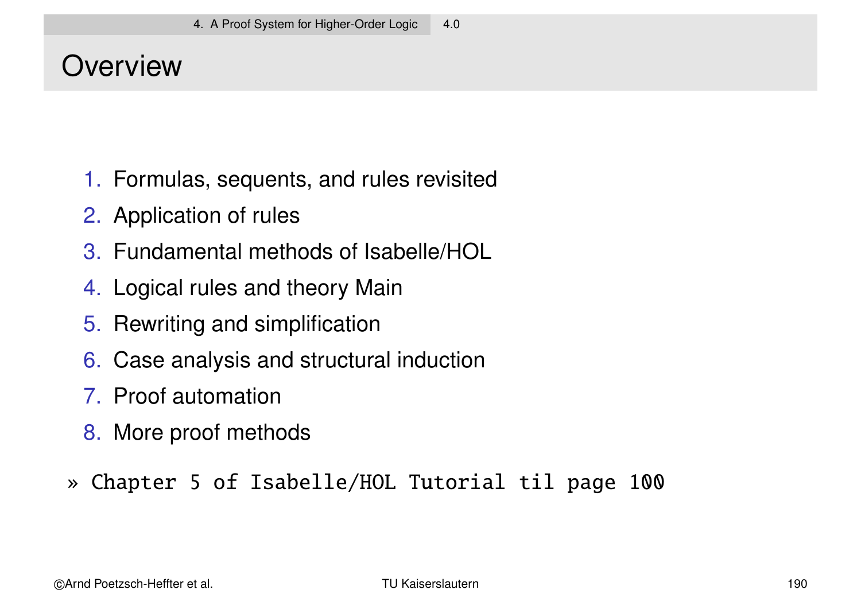### **Overview**

- 1. Formulas, sequents, and rules revisited
- 2. Application of rules
- 3. Fundamental methods of Isabelle/HOL
- 4. Logical rules and theory Main
- 5. Rewriting and simplification
- 6. Case analysis and structural induction
- 7. Proof automation
- 8. More proof methods
- » Chapter 5 of Isabelle/HOL Tutorial til page 100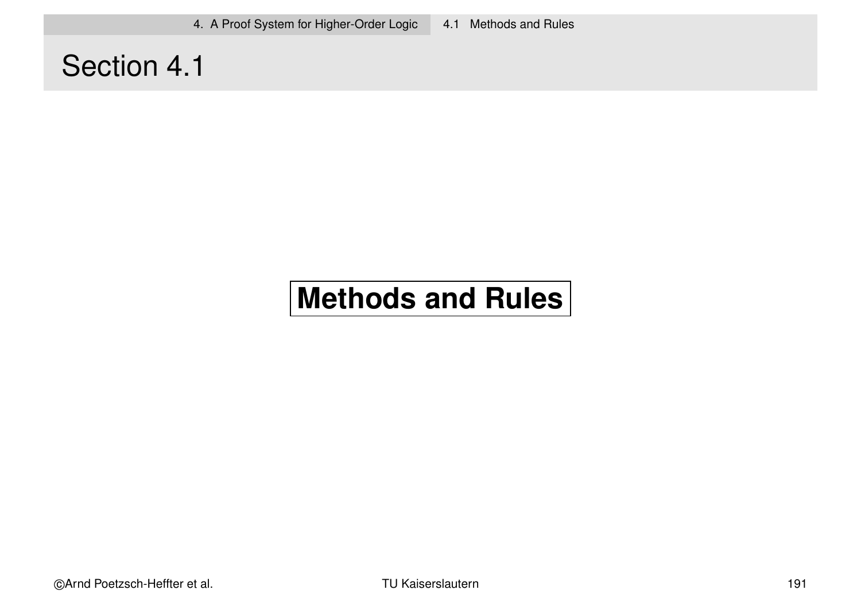4. A Proof System for Higher-Order Logic 4.1 Methods and Rules

### Section 4.1

# **Methods and Rules**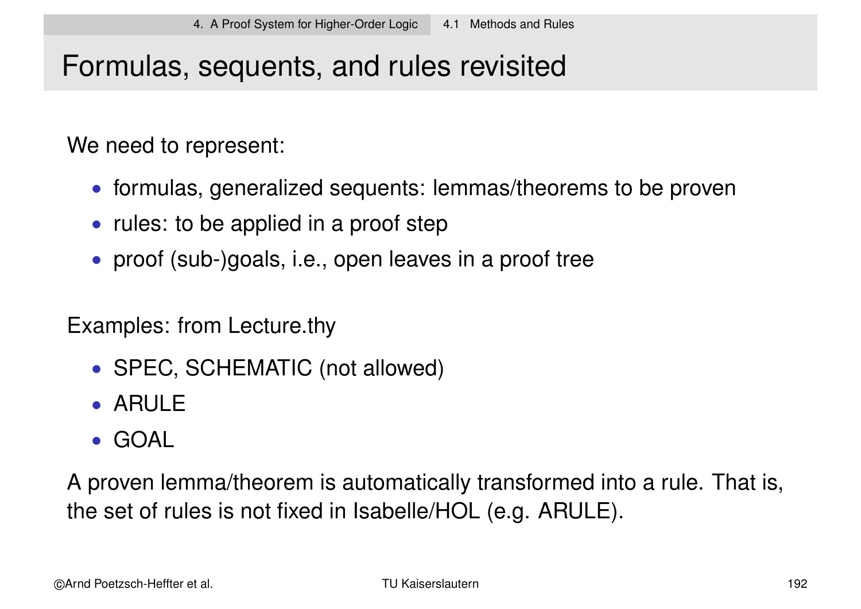### Formulas, sequents, and rules revisited

We need to represent:

- formulas, generalized sequents: lemmas/theorems to be proven
- rules: to be applied in a proof step
- proof (sub-)goals, i.e., open leaves in a proof tree

Examples: from Lecture.thy

- SPEC, SCHEMATIC (not allowed)
- ARULE
- GOAL

A proven lemma/theorem is automatically transformed into a rule. That is, the set of rules is not fixed in Isabelle/HOL (e.g. ARULE).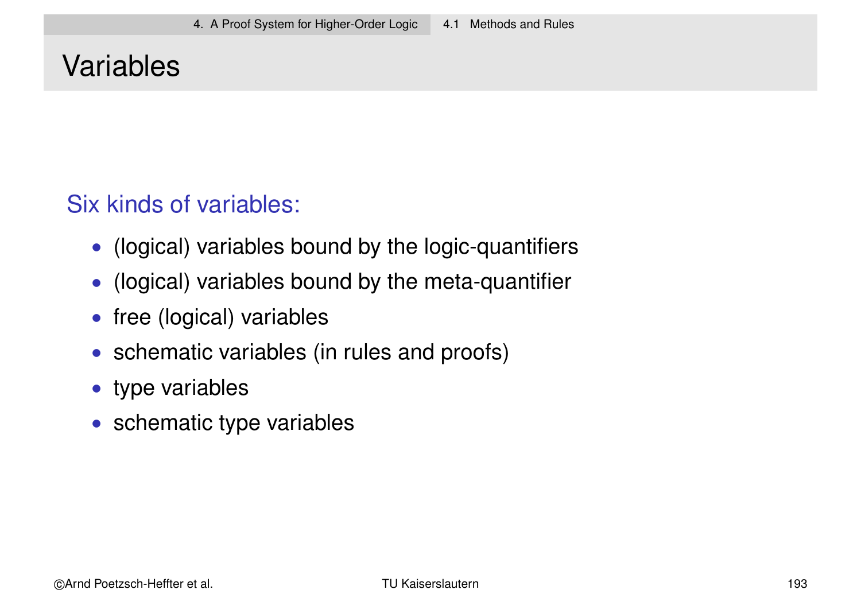### Variables

### Six kinds of variables:

- (logical) variables bound by the logic-quantifiers
- (logical) variables bound by the meta-quantifier
- free (logical) variables
- schematic variables (in rules and proofs)
- type variables
- schematic type variables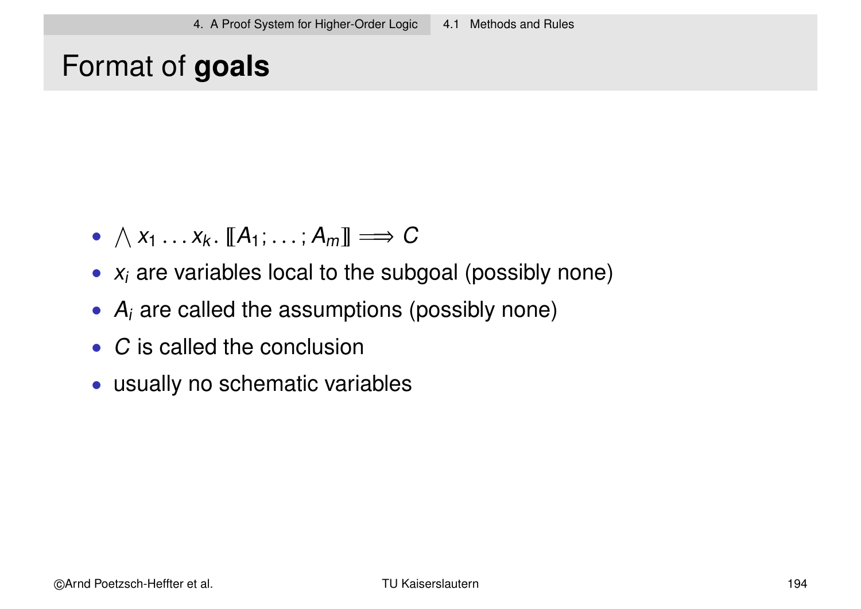### Format of **goals**

- $\wedge x_1 \ldots x_k$ .  $[[A_1; \ldots; A_m]] \Longrightarrow C$
- $x_i$  are variables local to the subgoal (possibly none)
- $\bullet$  A<sub>i</sub> are called the assumptions (possibly none)
- C is called the conclusion
- usually no schematic variables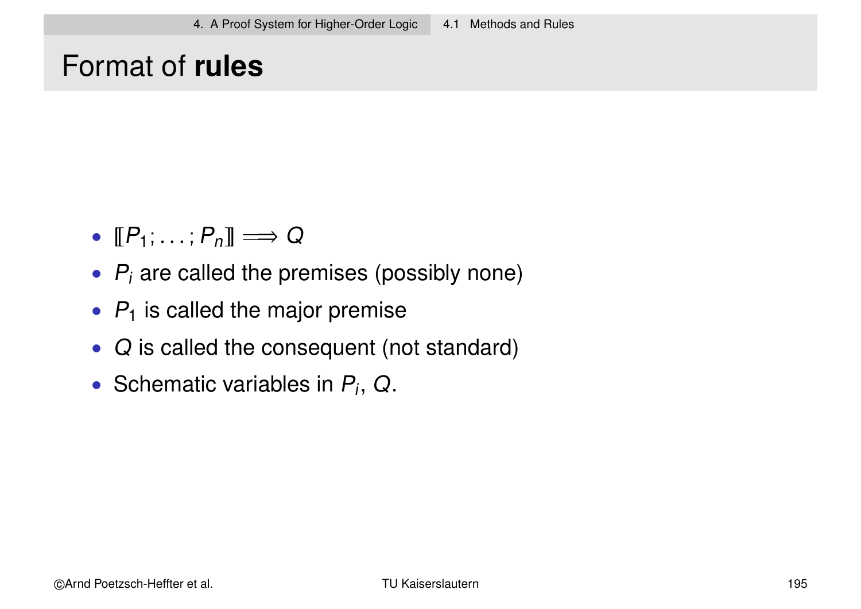### Format of **rules**

- $[\![P_1; \ldots; P_n]\!] \Longrightarrow Q$
- $\bullet$   $P_i$  are called the premises (possibly none)
- $P_1$  is called the major premise
- Q is called the consequent (not standard)
- Schematic variables in  $P_i$ , Q.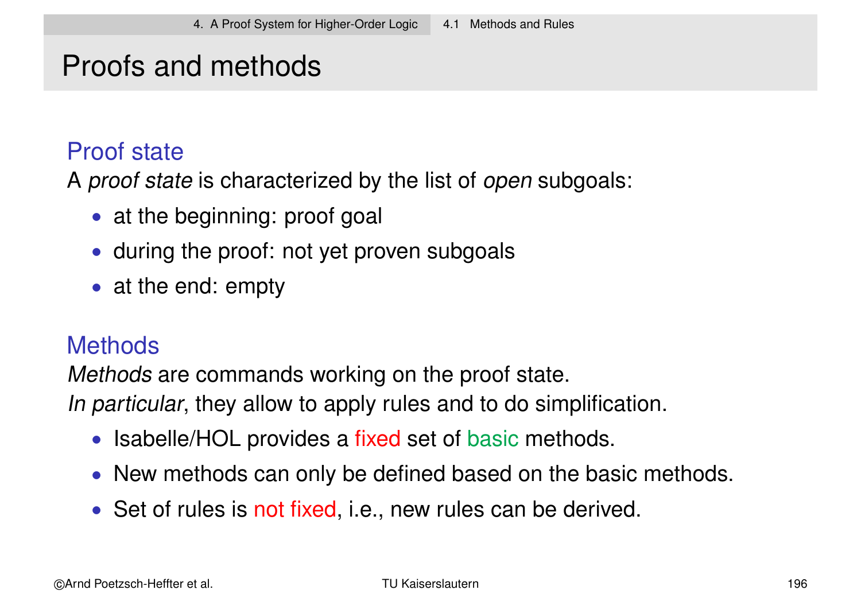### Proofs and methods

#### Proof state

A proof state is characterized by the list of open subgoals:

- at the beginning: proof goal
- during the proof: not yet proven subgoals
- at the end: empty

#### **Methods**

Methods are commands working on the proof state. In particular, they allow to apply rules and to do simplification.

- Isabelle/HOL provides a fixed set of basic methods.
- New methods can only be defined based on the basic methods.
- Set of rules is not fixed, i.e., new rules can be derived.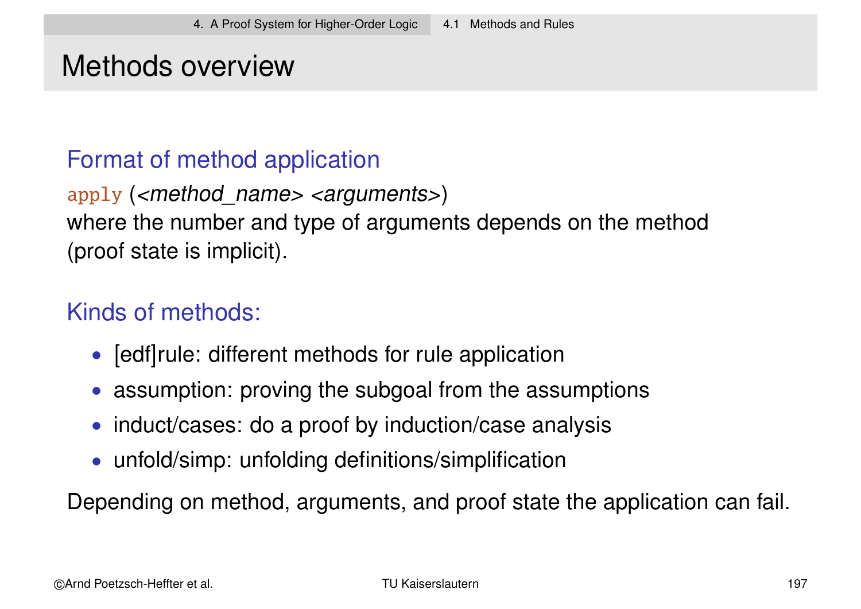### Methods overview

#### Format of method application

apply ( $\leq$ method name>  $\leq$ arguments>) where the number and type of arguments depends on the method (proof state is implicit).

#### Kinds of methods:

- [edf]rule: different methods for rule application
- assumption: proving the subgoal from the assumptions
- induct/cases: do a proof by induction/case analysis
- unfold/simp: unfolding definitions/simplification

Depending on method, arguments, and proof state the application can fail.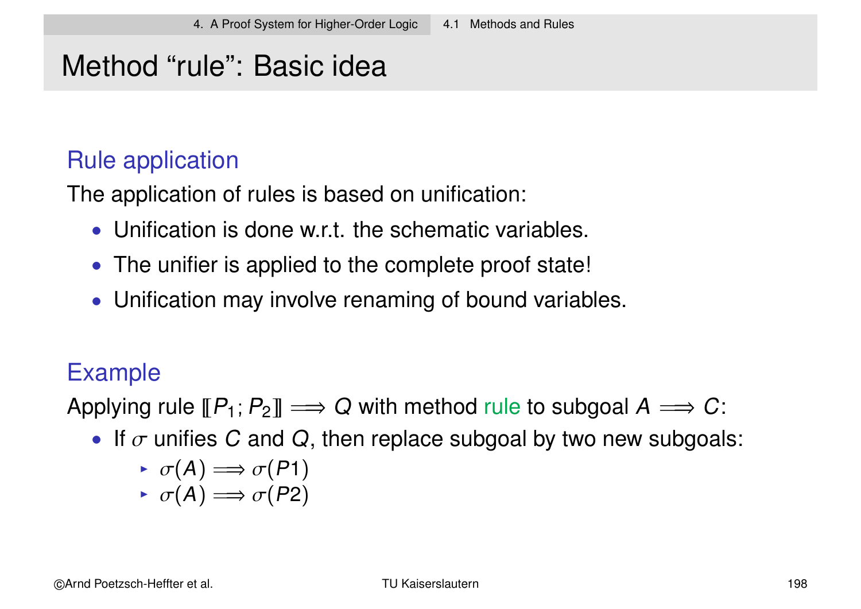### Method "rule": Basic idea

#### Rule application

The application of rules is based on unification:

- Unification is done w.r.t. the schematic variables.
- The unifier is applied to the complete proof state!
- Unification may involve renaming of bound variables.

### Example

Applying rule  $[\![P_1;P_2]\!]\Longrightarrow Q$  with method rule to subgoal  $A\Longrightarrow C\colon$ 

• If  $\sigma$  unifies C and Q, then replace subgoal by two new subgoals:

$$
\rightarrow \sigma(A) \Longrightarrow \sigma(P1)
$$

$$
\rightarrow \sigma(A) \Longrightarrow \sigma(P2)
$$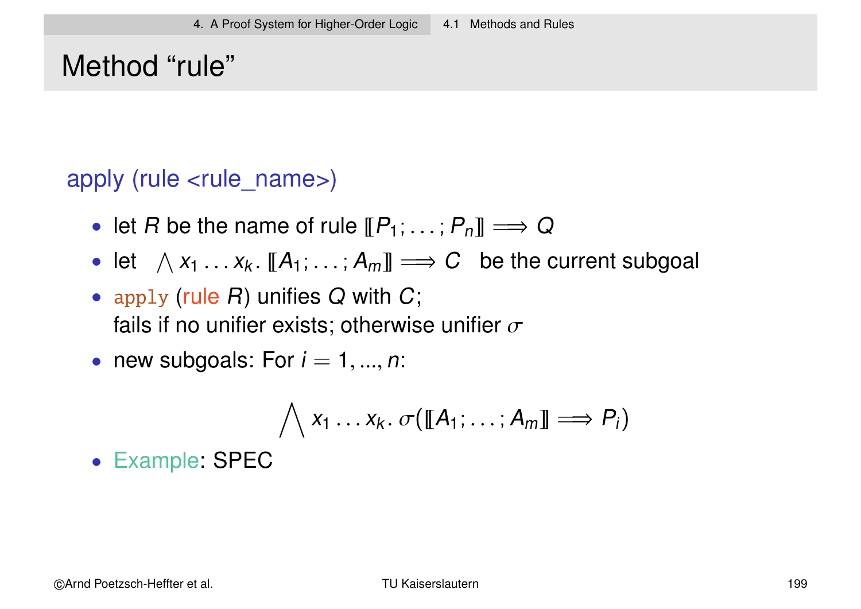# Method "rule"

apply (rule <rule\_name>)

- let R be the name of rule  $[\![P_1; \ldots; P_n]\!] \Longrightarrow Q$
- let  $\Lambda x_1 \ldots x_k$ .  $[[A_1; \ldots; A_m]] \Longrightarrow C$  be the current subgoal
- apply (rule  $R$ ) unifies  $Q$  with  $C$ ; fails if no unifier exists; otherwise unifier  $\sigma$
- new subgoals: For  $i = 1, ..., n$ :

$$
\bigwedge x_1 \ldots x_k. \ \sigma([\![A_1;\ldots;A_m]\!]\Longrightarrow P_i)
$$

• Example: SPEC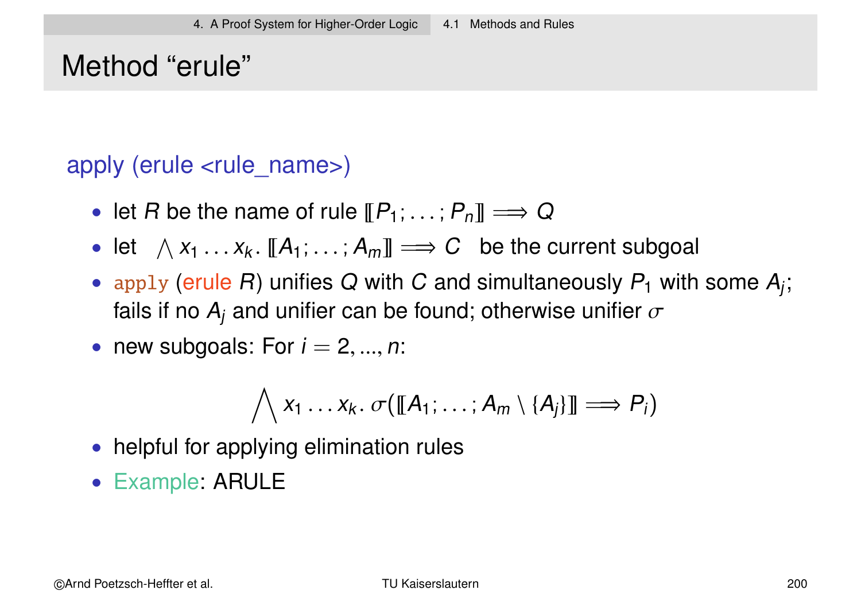### Method "erule"

#### apply (erule <rule\_name>)

- let R be the name of rule  $[\![P_1; \ldots; P_n]\!] \Longrightarrow Q$
- let  $\Lambda x_1 \ldots x_k$ .  $[[A_1; \ldots; A_m]] \Longrightarrow C$  be the current subgoal
- apply (erule R) unifies Q with C and simultaneously  $P_1$  with some  $A_j$ ; fails if no  $\mathcal{A}_j$  and unifier can be found; otherwise unifier  $\sigma$
- new subgoals: For  $i = 2, ..., n$ :

$$
\bigwedge x_1 \ldots x_k. \ \sigma([\![A_1;\ldots;A_m \setminus \{A_j\}]\!] \Longrightarrow P_i)
$$

- helpful for applying elimination rules
- Example: ARULE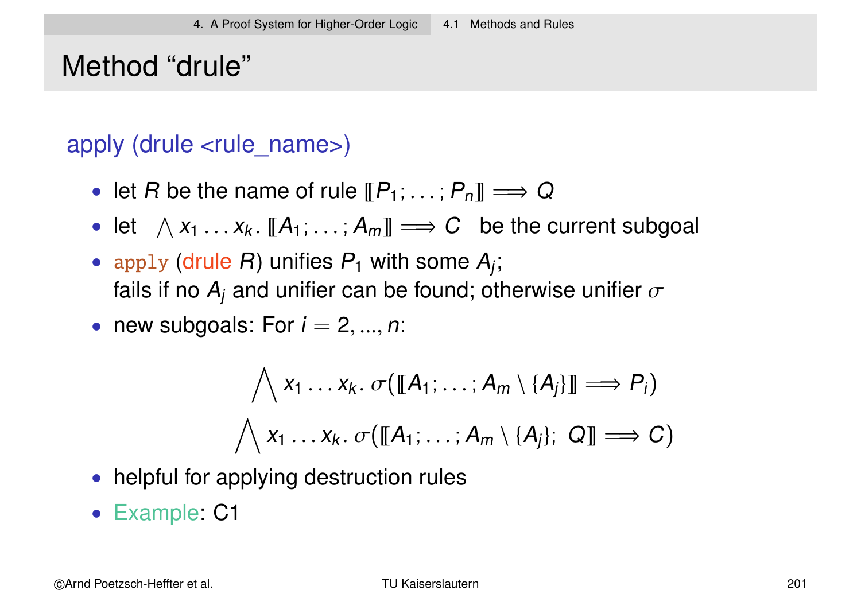# Method "drule"

#### apply (drule <rule\_name>)

- let R be the name of rule  $[\![P_1;\ldots;P_n]\!] \Longrightarrow Q$
- let  $\Lambda x_1 \ldots x_k$ .  $[[A_1; \ldots; A_m]] \Longrightarrow C$  be the current subgoal
- apply (drule R) unifies  $P_1$  with some  $A_j$ ; fails if no  $\mathcal{A}_j$  and unifier can be found; otherwise unifier  $\sigma$
- new subgoals: For  $i = 2, ..., n$ :

$$
\bigwedge x_1 \dots x_k. \ \sigma([\![A_1; \dots; A_m \setminus \{A_j\}]\!] \Longrightarrow P_i)
$$
  

$$
\bigwedge x_1 \dots x_k. \ \sigma([\![A_1; \dots; A_m \setminus \{A_j\}; \ Q]\!] \Longrightarrow C)
$$

- helpful for applying destruction rules
- Example: C1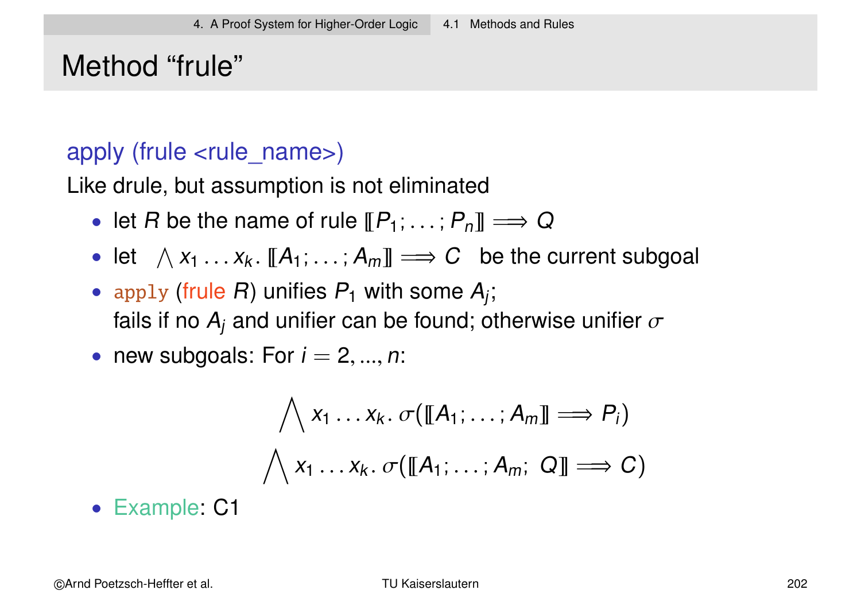## Method "frule"

#### apply (frule <rule name>)

Like drule, but assumption is not eliminated

- let R be the name of rule  $[\![P_1;\ldots;P_n]\!] \Longrightarrow Q$
- let  $\Lambda x_1 \ldots x_k$ .  $[[A_1; \ldots; A_m]] \Longrightarrow C$  be the current subgoal
- apply (frule R) unifies  $P_1$  with some  $A_j$ ; fails if no  $\mathcal{A}_j$  and unifier can be found; otherwise unifier  $\sigma$
- new subgoals: For  $i = 2, ..., n$ :

$$
\bigwedge x_1 \dots x_k. \ \sigma([\![A_1; \dots; A_m]\!] \Longrightarrow P_i)
$$

$$
\bigwedge x_1 \dots x_k. \ \sigma([\![A_1; \dots; A_m; \ Q]\!] \Longrightarrow C)
$$

• Example: C1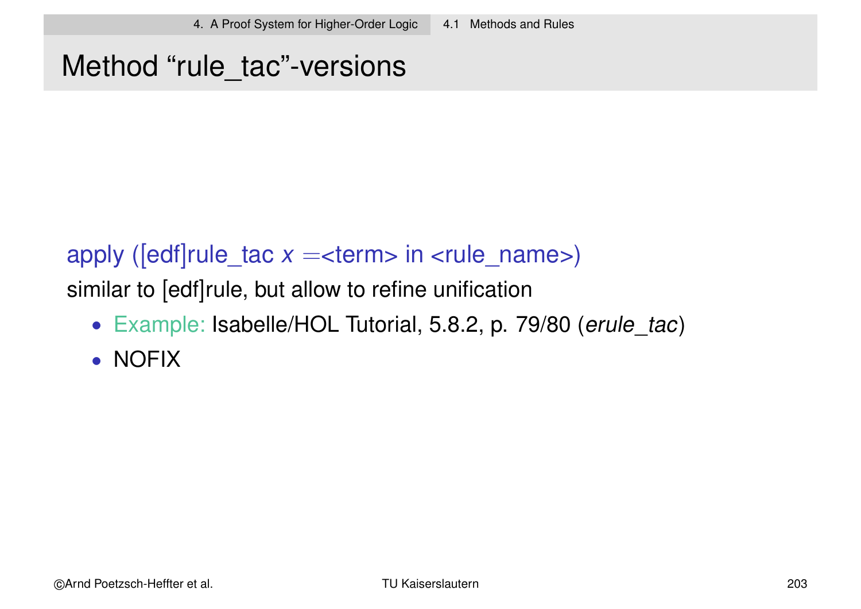### Method "rule\_tac"-versions

#### apply ( $[edf] rule\_tac x =  in < rule\_name>$ )

similar to [edf]rule, but allow to refine unification

- Example: Isabelle/HOL Tutorial, 5.8.2, p. 79/80 (erule tac)
- NOFIX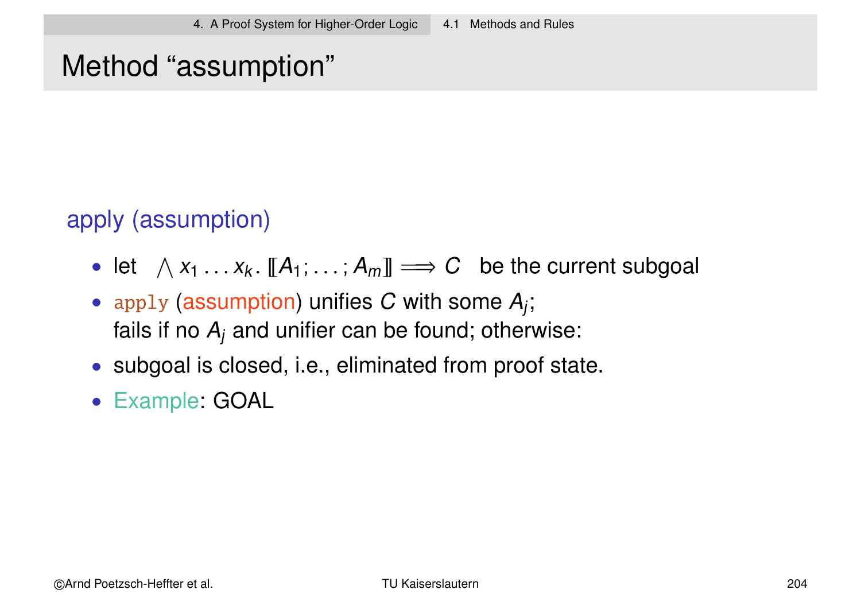### Method "assumption"

apply (assumption)

- let  $\Lambda x_1 \ldots x_k$ .  $[[A_1; \ldots; A_m]] \Longrightarrow C$  be the current subgoal
- apply (assumption) unifies C with some  $A_j$ ; fails if no  $A_j$  and unifier can be found; otherwise:
- subgoal is closed, i.e., eliminated from proof state.
- Example: GOAL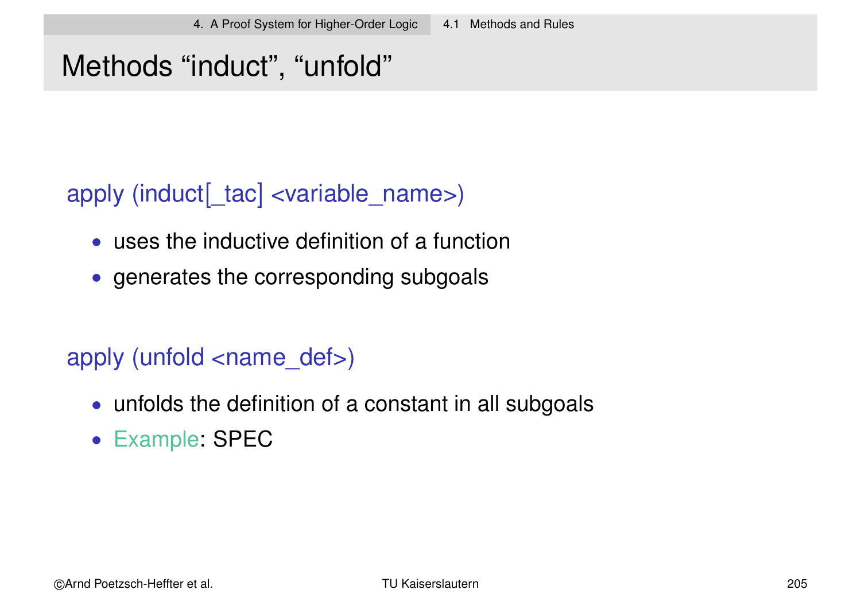# Methods "induct", "unfold"

### apply (induct[\_tac] <variable\_name>)

- uses the inductive definition of a function
- generates the corresponding subgoals

### apply (unfold <name\_def>)

- unfolds the definition of a constant in all subgoals
- Example: SPEC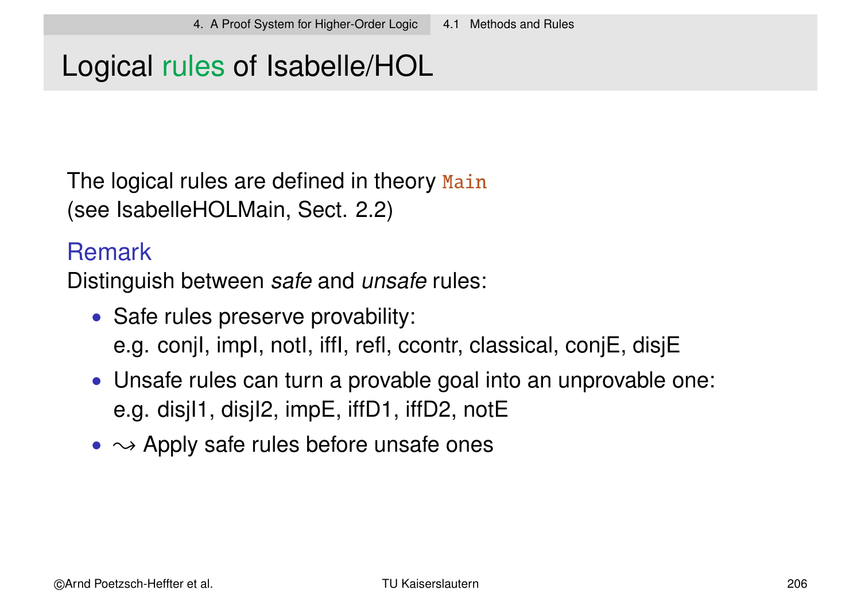### Logical rules of Isabelle/HOL

The logical rules are defined in theory Main (see IsabelleHOLMain, Sect. 2.2)

#### Remark

Distinguish between safe and unsafe rules:

- Safe rules preserve provability: e.g. conjI, impI, notI, iffI, refl, ccontr, classical, conjE, disjE
- Unsafe rules can turn a provable goal into an unprovable one: e.g. disjI1, disjI2, impE, iffD1, iffD2, notE
- $\rightarrow$  Apply safe rules before unsafe ones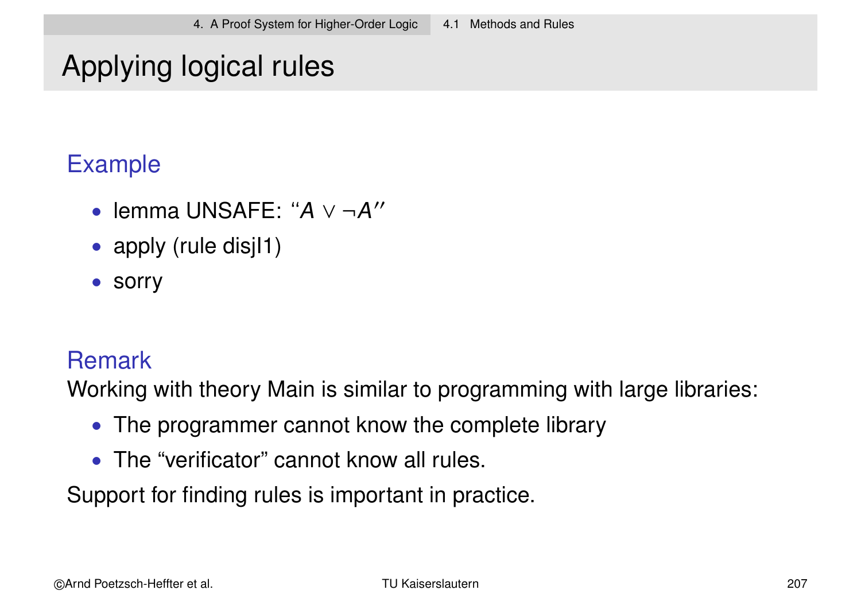# Applying logical rules

### Example

- lemma UNSAFE: " $A$  ∨ ¬ $A$ "
- apply (rule disjl1)
- sorry

#### **Remark**

Working with theory Main is similar to programming with large libraries:

- The programmer cannot know the complete library
- The "verificator" cannot know all rules.

Support for finding rules is important in practice.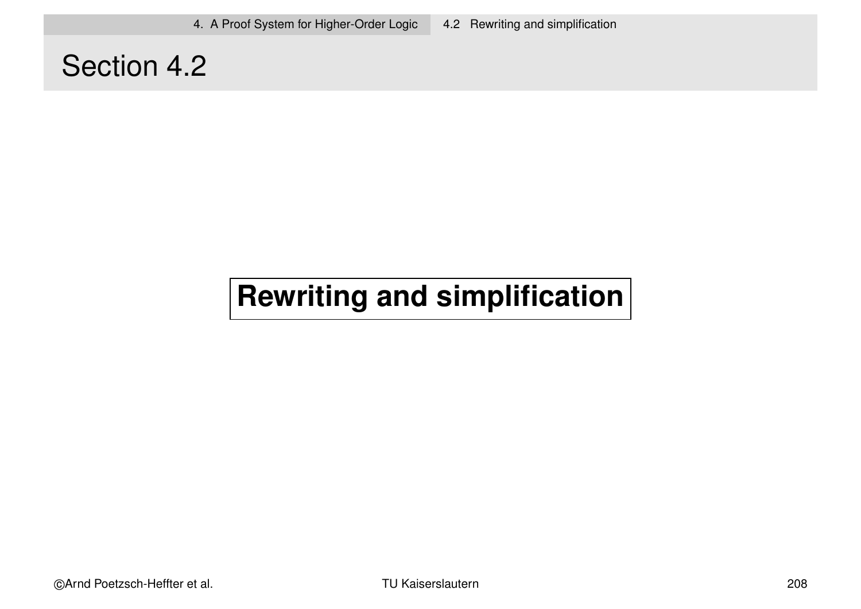### Section 4.2

# **Rewriting and simplification**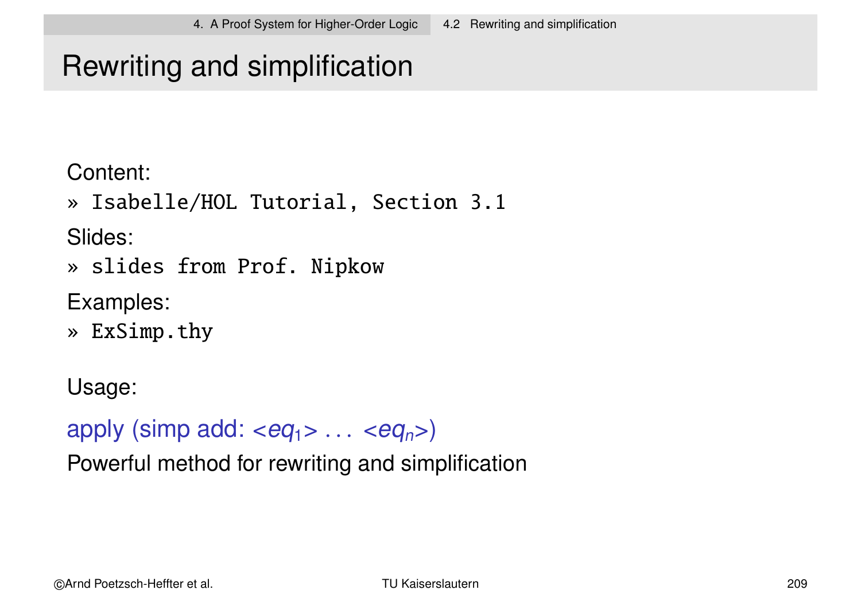# Rewriting and simplification

Content:

» Isabelle/HOL Tutorial, Section 3.1

Slides:

» slides from Prof. Nipkow

Examples:

» ExSimp.thy

Usage:

apply (simp add:  $\langle eq_1 \rangle \ldots \langle eq_n \rangle$ )

Powerful method for rewriting and simplification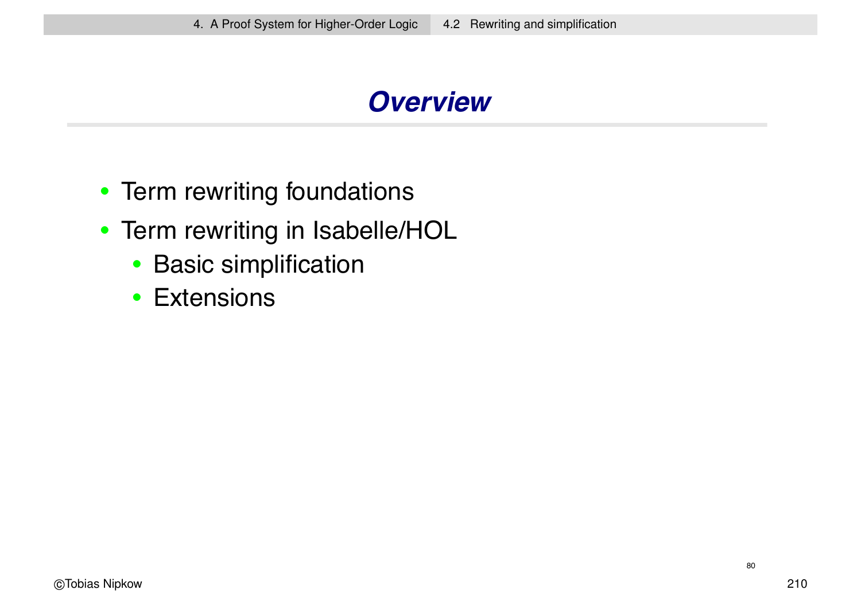### *Overview*

- Term rewriting foundations
- Term rewriting in Isabelle/HOL
	- Basic simplification
	- Extensions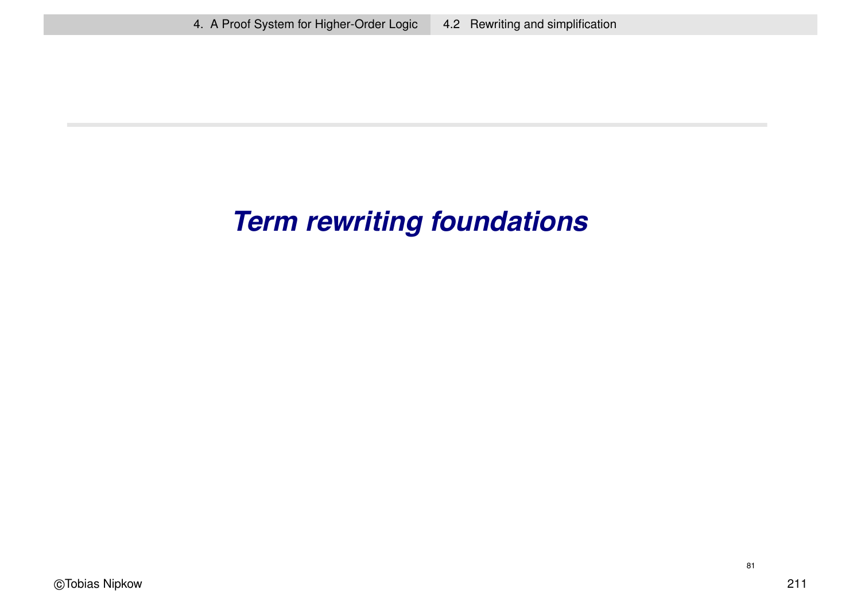# *Term rewriting foundations*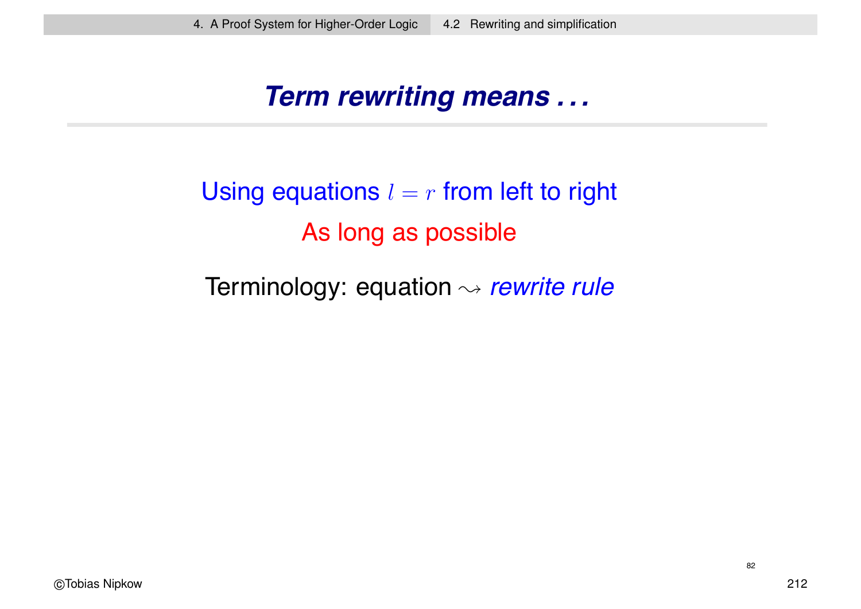#### *Term rewriting means . . .*

# Using equations  $l = r$  from left to right As long as possible

#### Terminology: equation <sup>→</sup> *rewrite rule*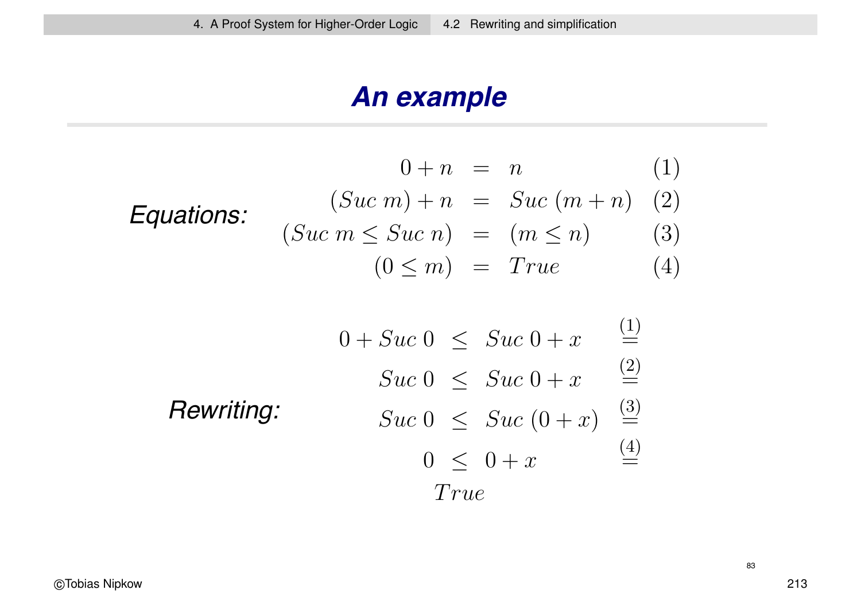### *An example*

$$
0 + n = n \qquad (1)
$$
  
\n**Equations:**  $(Suc \ m) + n = Suc \ (m + n) \quad (2)$   
\n $(Suc \ m \le Suc \ n) = (m \le n) \quad (3)$   
\n $(0 \le m) = True \qquad (4)$ 

$$
0 + Succ \ 0 \leq \ Suc \ 0 + x \quad \stackrel{(1)}{=} \\ \text{Suc} \ 0 \leq \ Suc \ 0 + x \quad \stackrel{(2)}{=} \\ \text{Suc} \ 0 \leq \ Suc \ (0 + x) \quad \stackrel{(3)}{=} \\ \text{True}
$$
\n
$$
0 \leq 0 + x \quad \stackrel{(4)}{=} \\ \text{True}
$$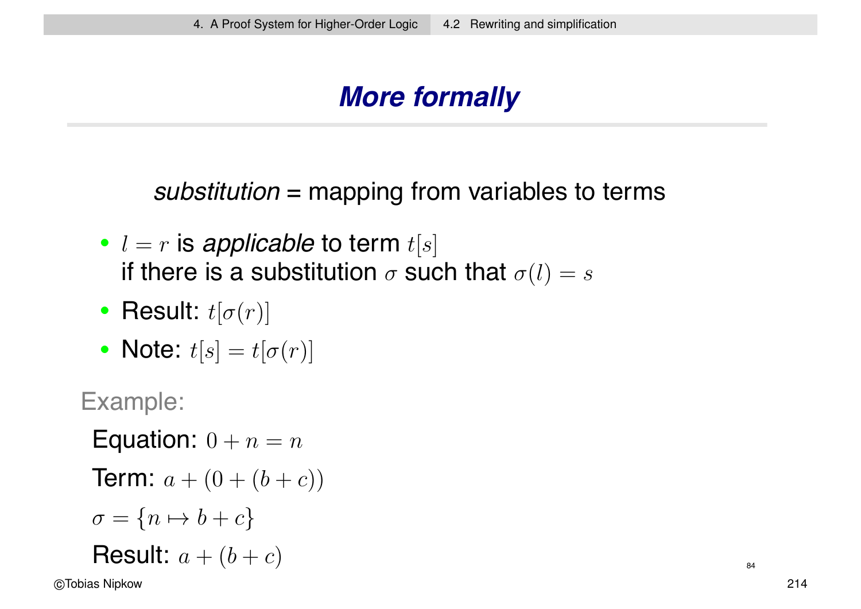# *More formally*

*substitution* = mapping from variables to terms

- $l = r$  is *applicable* to term  $t[s]$ if there is a substitution  $\sigma$  such that  $\sigma(l) = s$
- Result:  $t[\sigma(r)]$
- Note:  $t[s] = t[\sigma(r)]$

Example:

Equation:  $0 + n = n$ 

**Term:** 
$$
a + (0 + (b + c))
$$

$$
\sigma = \{n \mapsto b + c\}
$$

$$
\textbf{Result: } a + (b + c) \tag{84}
$$

©Tobias Nipkow 214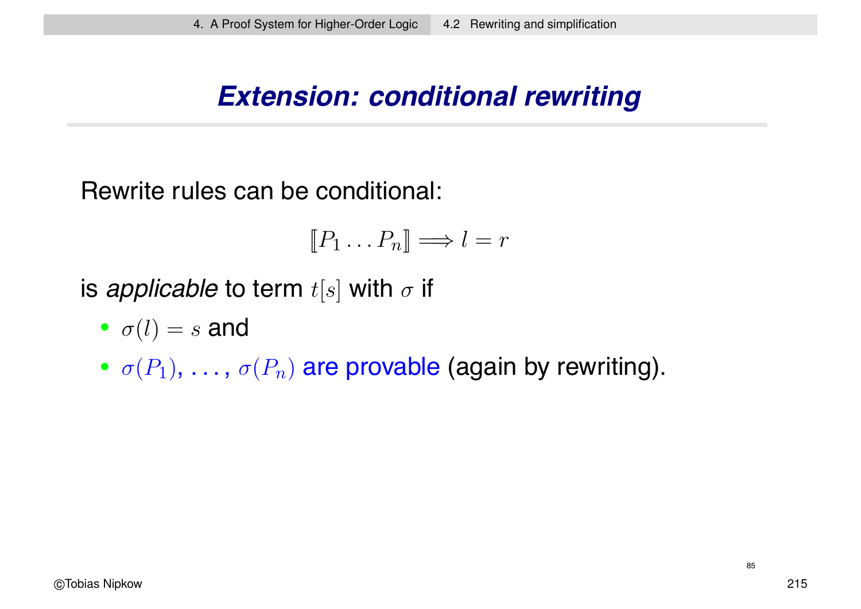#### *Extension: conditional rewriting*

Rewrite rules can be conditional:

$$
[\![P_1 \ldots P_n]\!] \Longrightarrow l = r
$$

is *applicable* to term  $t[s]$  with  $\sigma$  if

- $\sigma(l) = s$  and
- $\sigma(P_1), \ldots, \sigma(P_n)$  are provable (again by rewriting).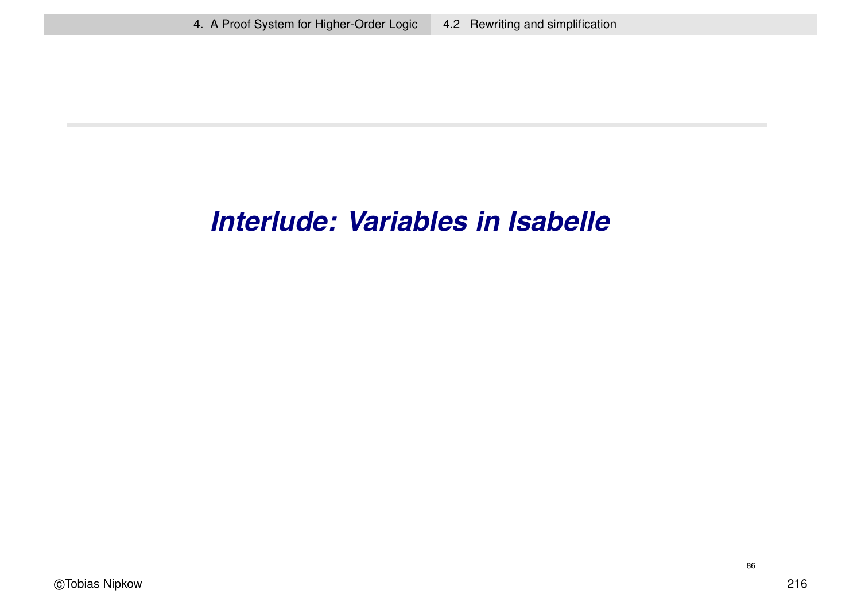### *Interlude: Variables in Isabelle*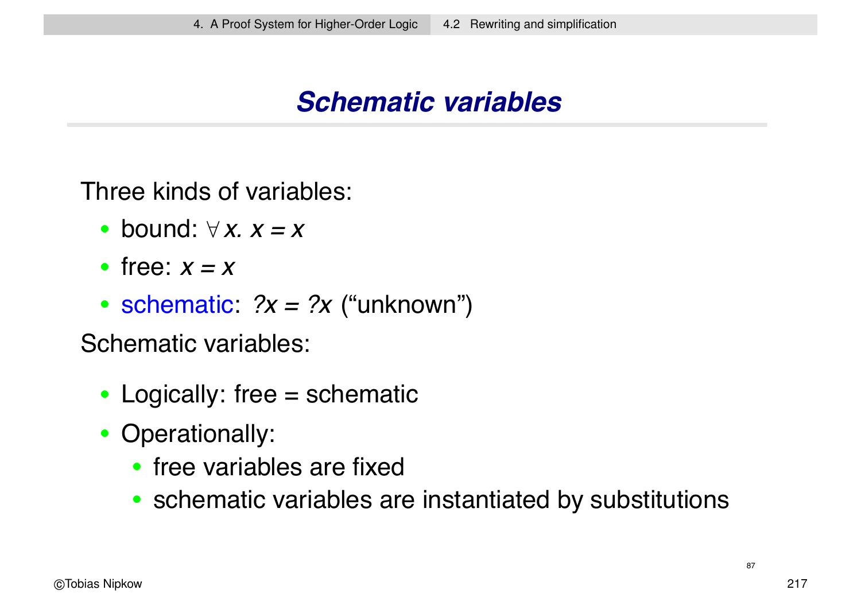### *Schematic variables*

Three kinds of variables:

- bound: ∀ *x. x = x*
- free: *x=x*
- schematic:  $?x = ?x$  ("unknown")

Schematic variables:

- Logically: free  $=$  schematic
- Operationally:
	- free variables are fixed
	- schematic variables are instantiated by substitutions

87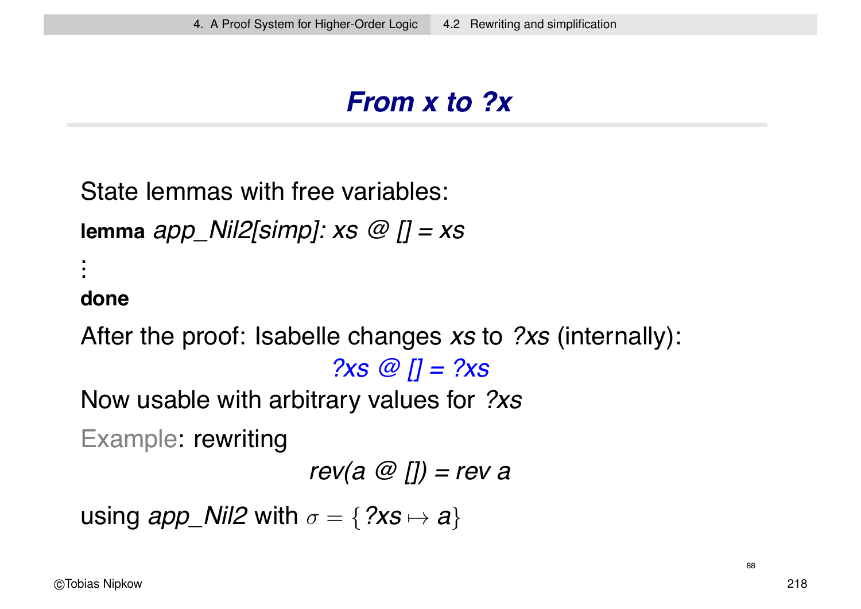### *From x to ?x*

```
State lemmas with free variables:
```
**lemma** *app\_Nil2[simp]: xs @ [] = xs* .

#### **done**

.<br>.<br>. .<br>.<br>.

After the proof: Isabelle changes *xs* to *?xs* (internally):

*?xs @ [] = ?xs*

Now usable with arbitrary values for *?xs*

Example: rewriting

```
rev(a @ []) = rev a
```

```
using app_Nil2 with \sigma = \{?xs \mapsto a\}
```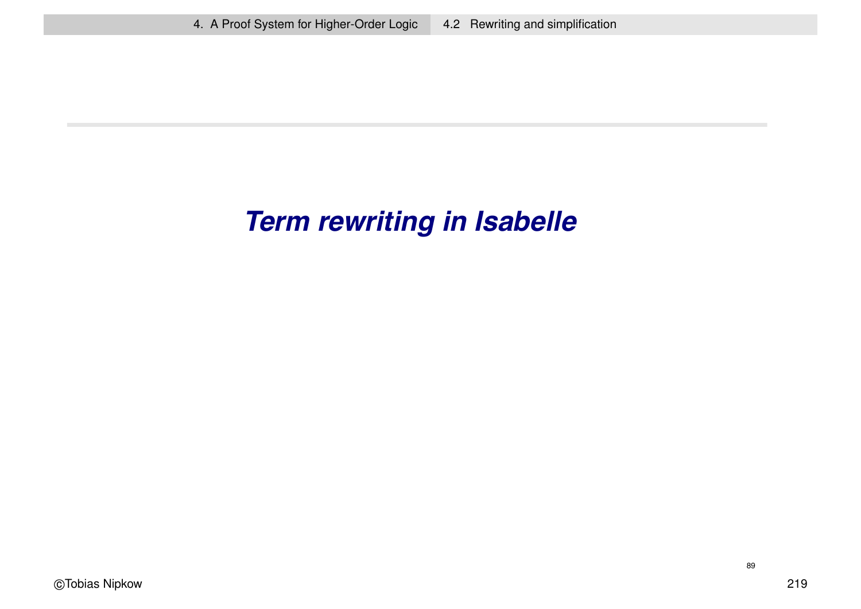# *Term rewriting in Isabelle*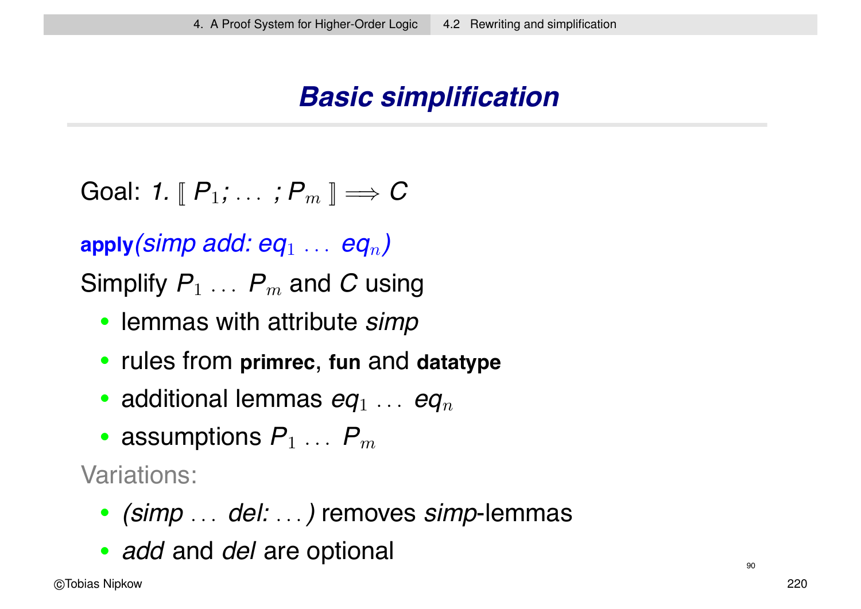### *Basic simplification*

Goal: 1. 
$$
\llbracket P_1; \ldots; P_m \rrbracket \Longrightarrow C
$$

**apply***(simp add: eq*<sup>1</sup> ... *eq*n*)*

Simplify  $P_1 \ldots P_m$  and C using

- lemmas with attribute *simp*
- rules from **primrec**, **fun** and **datatype**
- additional lemmas  $eq_1 \ldots eq_n$
- assumptions  $P_1 \ldots P_m$

Variations:

- *(simp* ... *del:* ...*)* removes *simp*-lemmas
- *add* and *del* are optional 900 minutes and 900 minutes of 900 minutes and 900 minutes are all 900 minutes of 900 minutes are all 900 minutes and 900 minutes are all 900 minutes and 900 minutes are all 900 minutes are a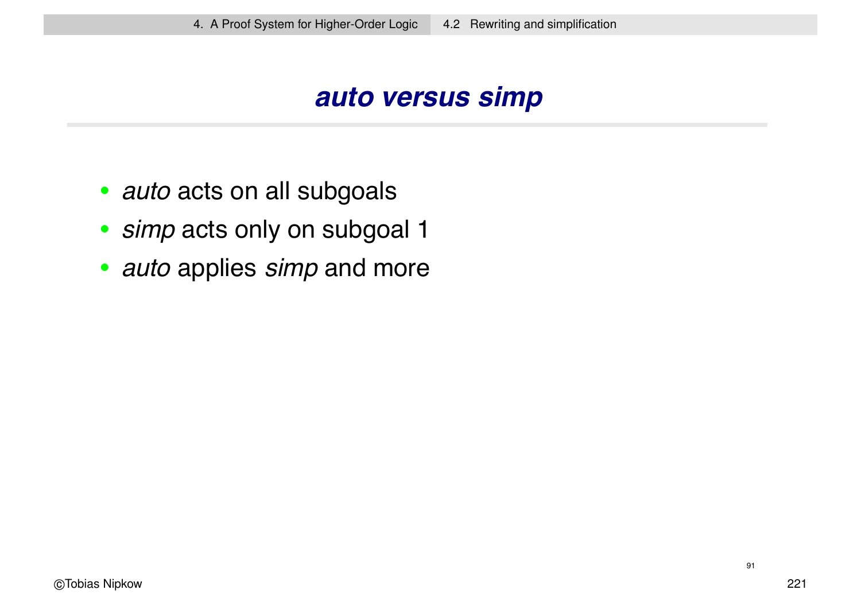#### *auto versus simp*

- *auto* acts on all subgoals
- *simp* acts only on subgoal 1
- *auto* applies *simp* and more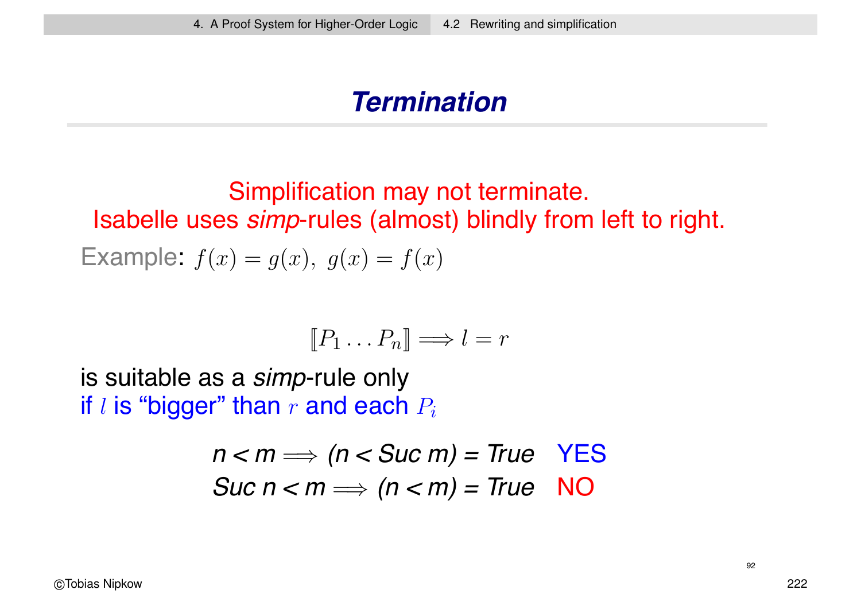#### *Termination*

Simplification may not terminate. Isabelle uses *simp*-rules (almost) blindly from left to right. Example:  $f(x) = g(x)$ ,  $g(x) = f(x)$ 

$$
[\![P_1 \ldots P_n]\!] \Longrightarrow l = r
$$

is suitable as a *simp*-rule only if l is "bigger" than r and each  $P_i$ 

$$
n < m \Longrightarrow (n < \text{Suc } m) = \text{True } \text{YES}
$$
\n
$$
\text{Suc } n < m \Longrightarrow (n < m) = \text{True } \text{NO}
$$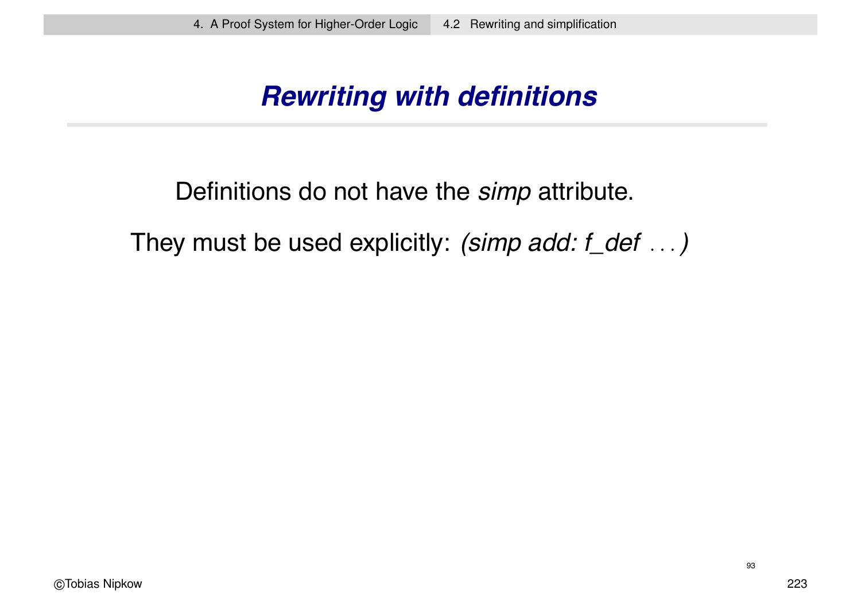### *Rewriting with definitions*

Definitions do not have the *simp* attribute.

They must be used explicitly: *(simp add: f\_def* ...*)*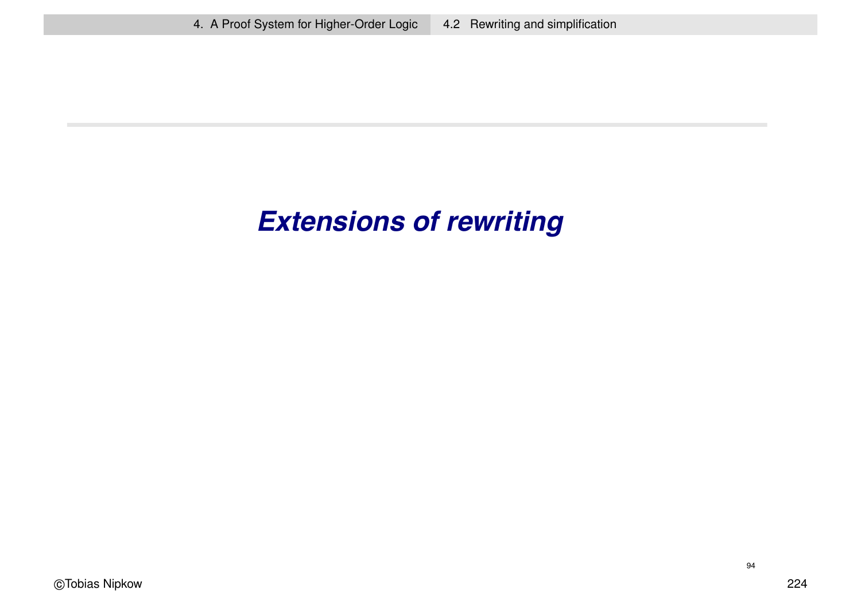# *Extensions of rewriting*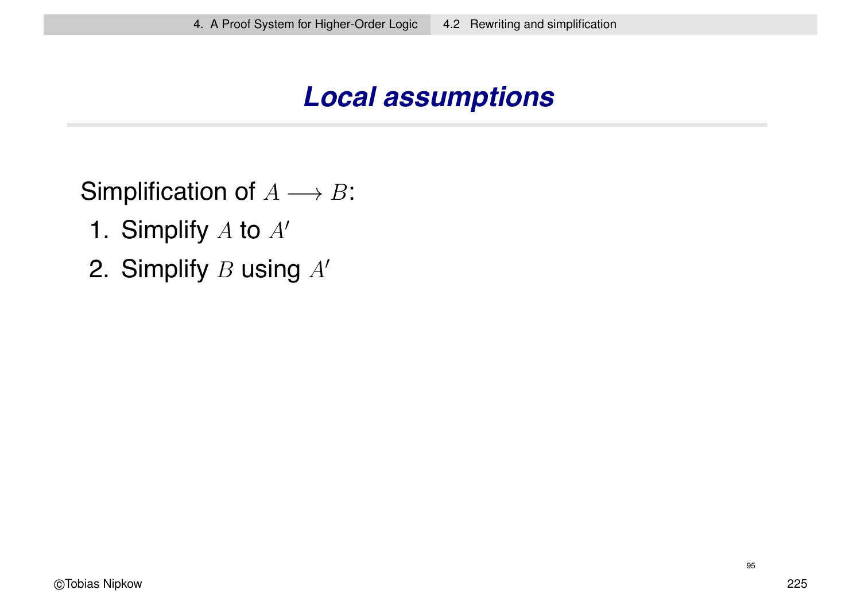### *Local assumptions*

Simplification of  $A \longrightarrow B$ :

- 1. Simplify  $A$  to  $A'$
- 2. Simplify  $B$  using  $A'$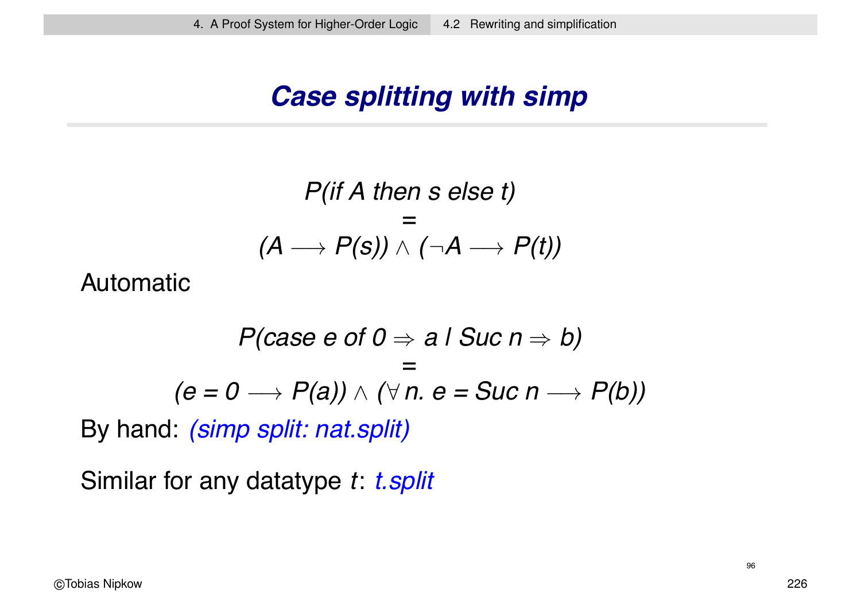### *Case splitting with simp*

$$
P(if \land then s \text{ else } t)
$$
  
=  

$$
(A \rightarrow P(s)) \land (\neg A \rightarrow P(t))
$$

Automatic

$$
P(case e of 0 \Rightarrow a \mid Succ \mid \Rightarrow b)
$$
  
=  

$$
(e = 0 \rightarrow P(a)) \land (\forall n. e = Succ \mid \rightarrow P(b))
$$

By hand: *(simp split: nat.split)*

Similar for any datatype *t*: *t.split*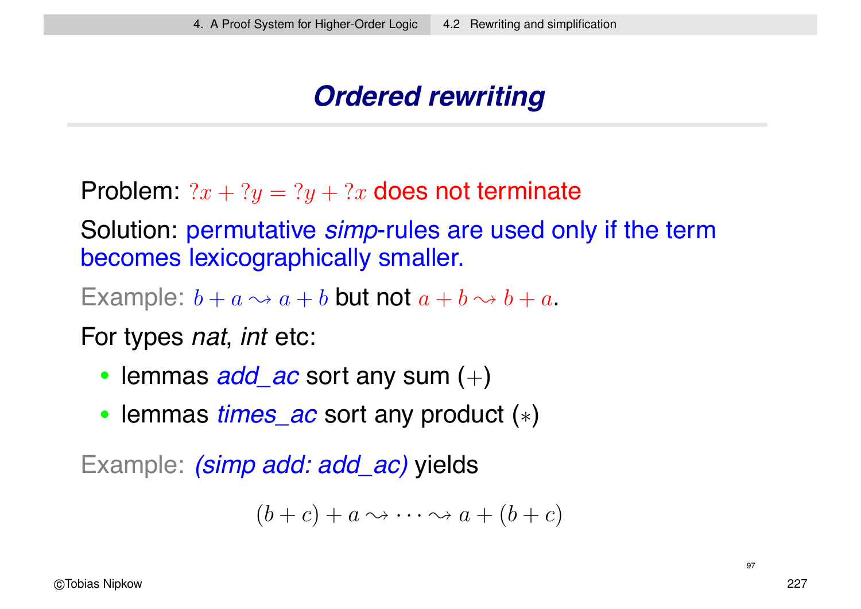### *Ordered rewriting*

Problem:  $2x + 2y = 2y + 2x$  does not terminate

Solution: permutative *simp*-rules are used only if the term becomes lexicographically smaller.

Example:  $b + a \rightarrow a + b$  but not  $a + b \rightarrow b + a$ .

For types *nat*, *int* etc:

- lemmas *add\_ac* sort any sum (+)
- lemmas *times\_ac* sort any product (∗)

Example: *(simp add: add\_ac)* yields

$$
(b+c)+a\leadsto\cdots\leadsto a+(b+c)
$$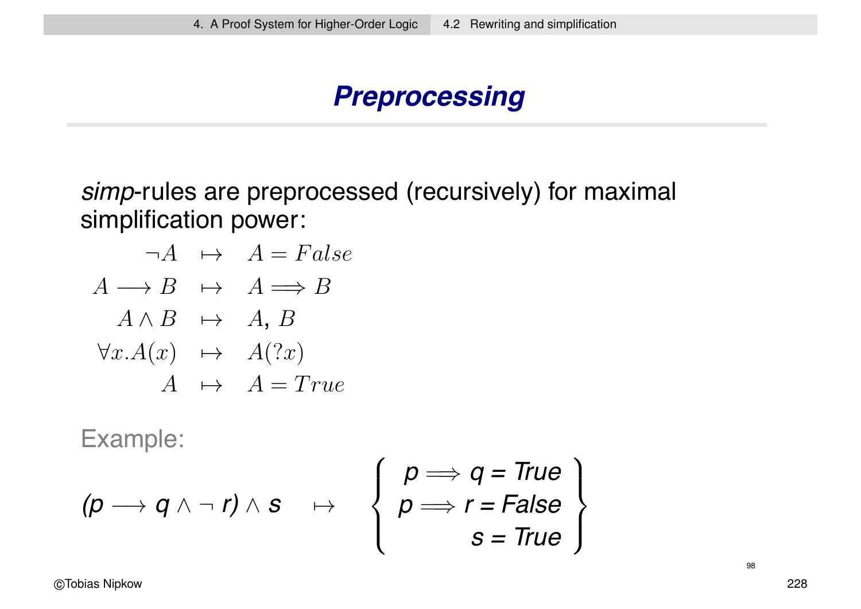### *Preprocessing*

*simp*-rules are preprocessed (recursively) for maximal simplification power:

$$
\neg A \rightarrow A = False
$$
  
\n
$$
A \rightarrow B \rightarrow A \Longrightarrow B
$$
  
\n
$$
A \land B \rightarrow A, B
$$
  
\n
$$
\forall x.A(x) \rightarrow A(?x)
$$
  
\n
$$
A \rightarrow A = True
$$

Example:

$$
(p \rightarrow q \land \neg r) \land s \quad \mapsto \quad \left\{ \begin{array}{l} p \Longrightarrow q = \text{True} \\ p \Longrightarrow r = \text{False} \\ s = \text{True} \end{array} \right\}
$$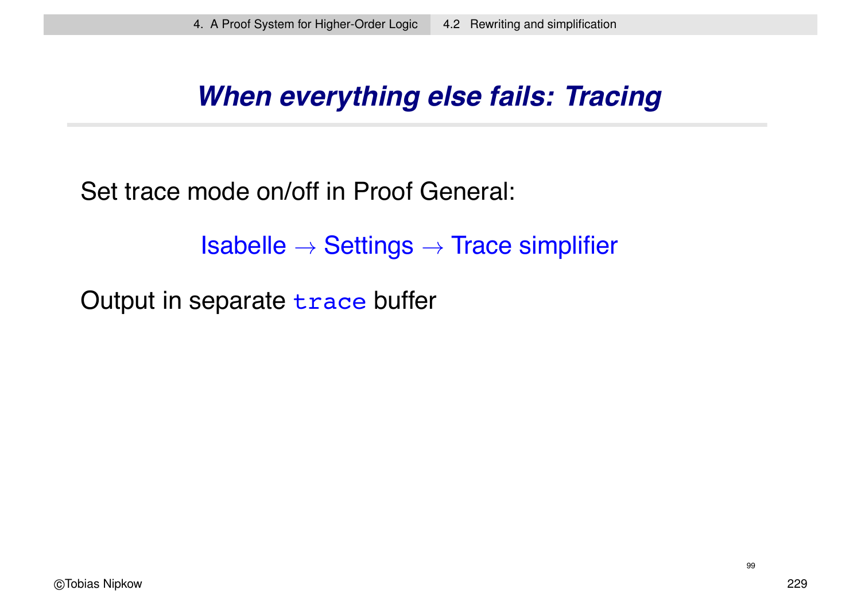### *When everything else fails: Tracing*

Set trace mode on/off in Proof General:

 $Isabelle \rightarrow Settings \rightarrow Trace$  simplifier

Output in separate trace buffer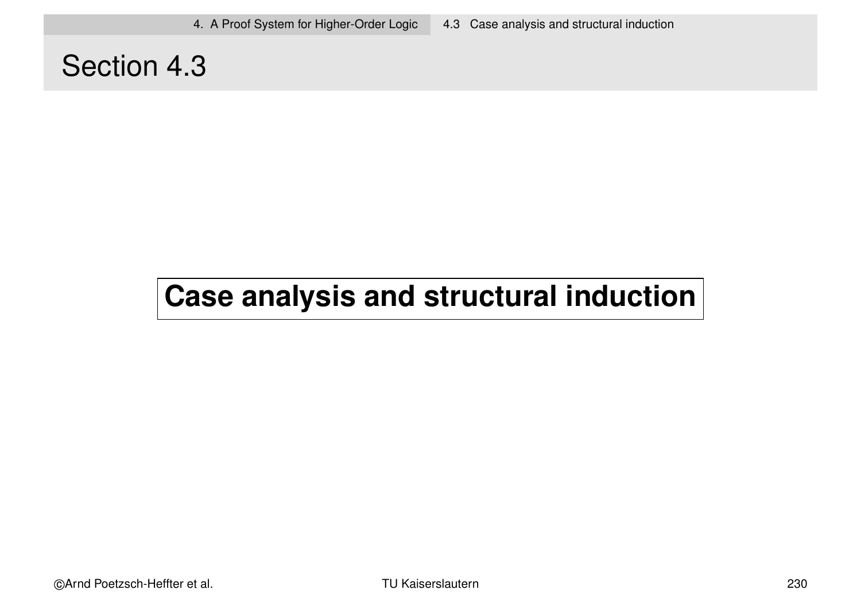### Section 4.3

# **Case analysis and structural induction**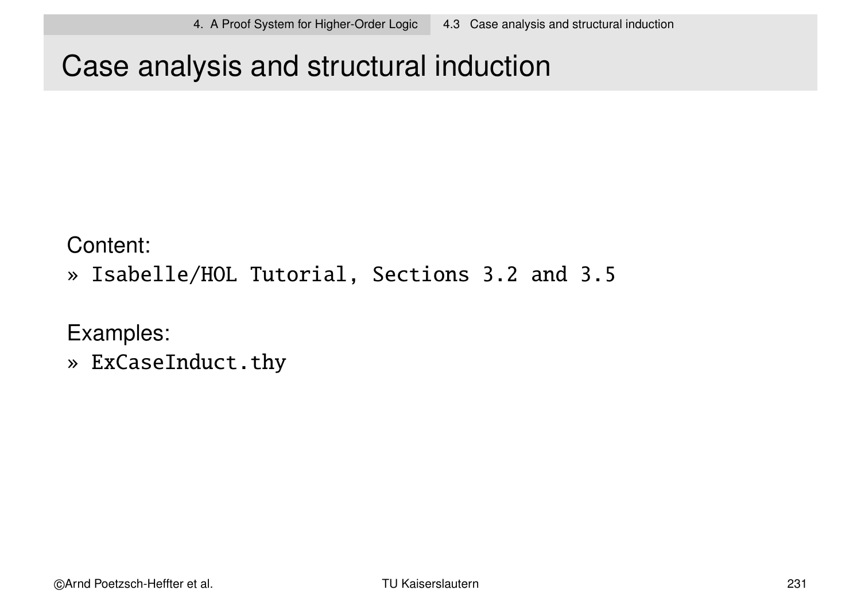# Case analysis and structural induction

Content:

» Isabelle/HOL Tutorial, Sections 3.2 and 3.5

Examples:

» ExCaseInduct.thy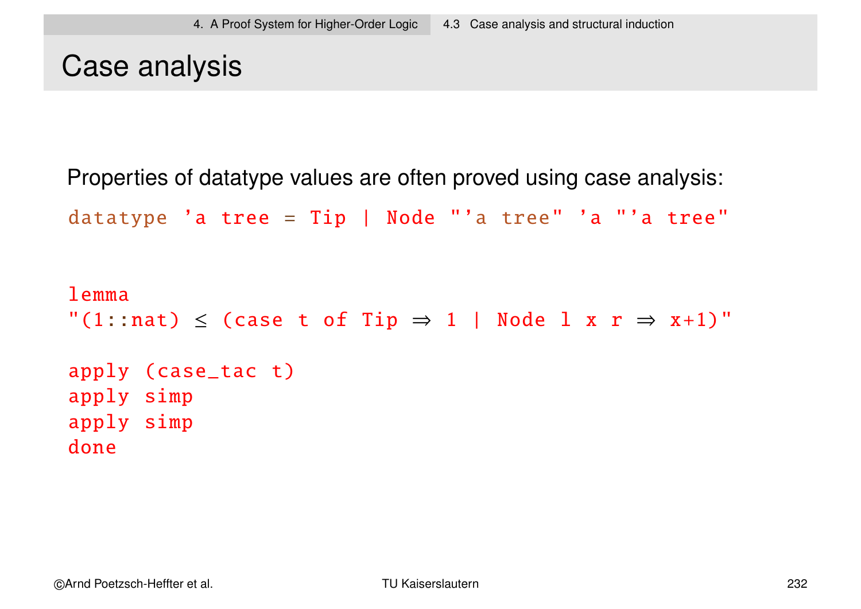### Case analysis

Properties of datatype values are often proved using case analysis:

```
datatype 'a tree = Tip | Node "'a tree" 'a "'a tree"
```

```
lemma
"(1::nat) \le (case t of Tip \Rightarrow 1 | Node 1 x r \Rightarrow x+1)"
apply (case_tac t)
apply simp
apply simp
done
```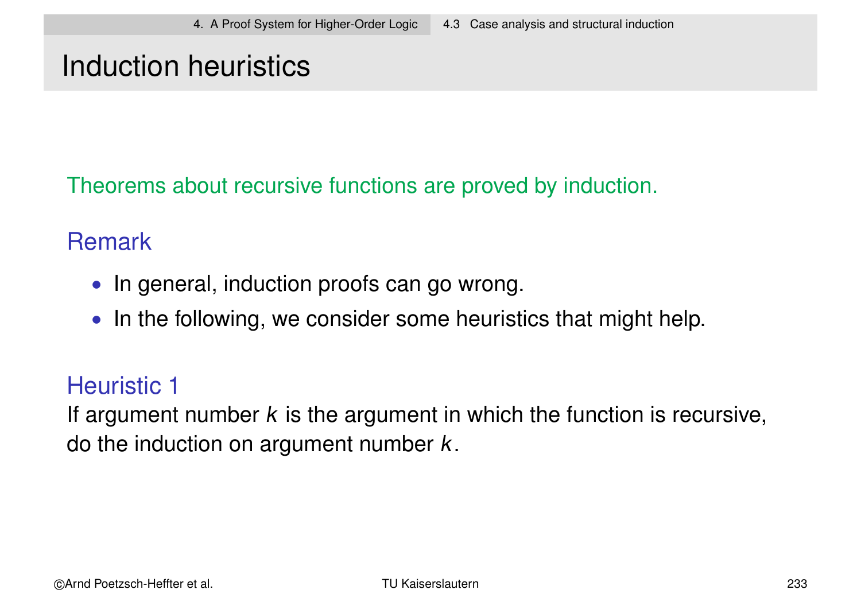### Induction heuristics

Theorems about recursive functions are proved by induction.

#### **Remark**

- In general, induction proofs can go wrong.
- In the following, we consider some heuristics that might help.

#### Heuristic 1

If argument number  $k$  is the argument in which the function is recursive, do the induction on argument number  $k$ .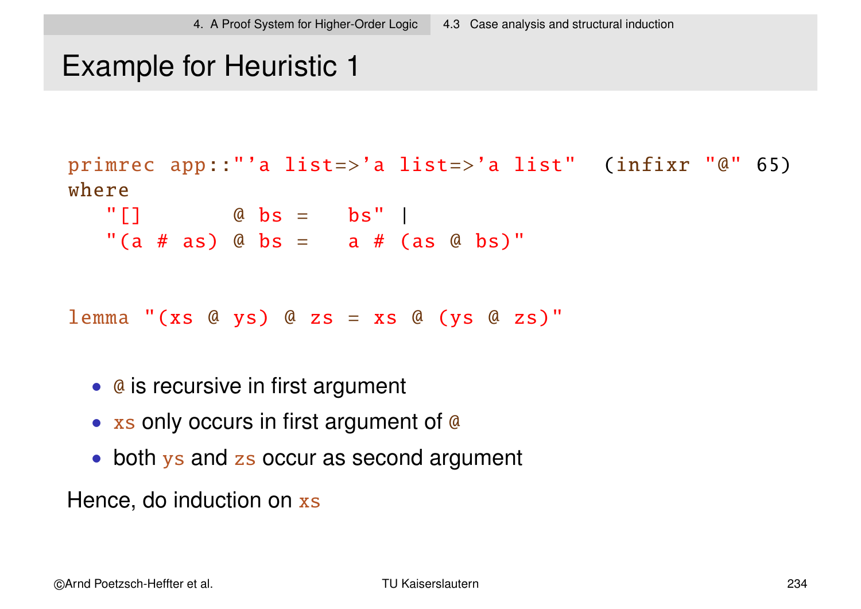### Example for Heuristic 1

```
primrec app::"'a list=>'a list=>'a list" (infixr "@" 65)
where
  " [ ] @ bs = bs" |
  "(a # as) @ bs = a # (as @ bs)"
lemma "(xs @ ys) @ zs = xs @ (ys @ zs)"
```
- @ is recursive in first argument
- xs only occurs in first argument of @
- both ys and zs occur as second argument

Hence, do induction on xs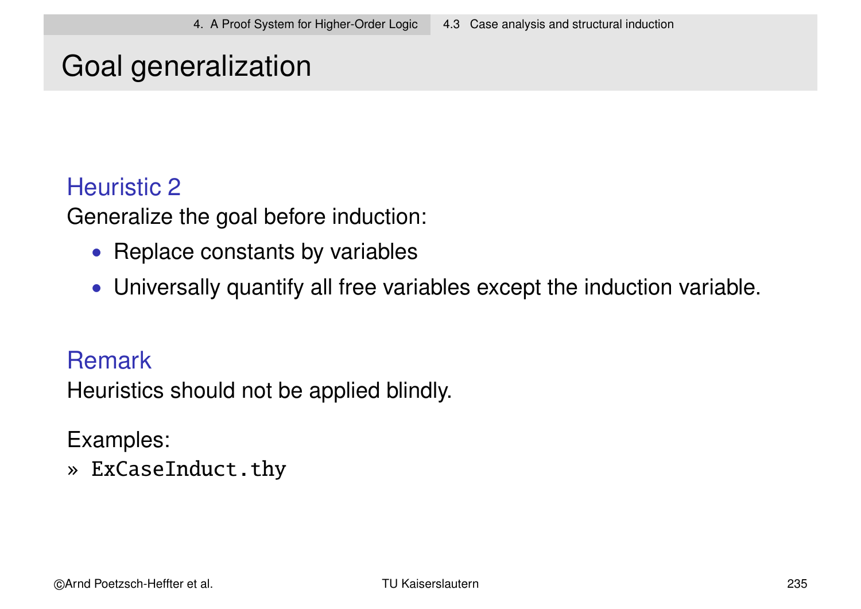# Goal generalization

#### Heuristic 2

Generalize the goal before induction:

- Replace constants by variables
- Universally quantify all free variables except the induction variable.

#### **Remark**

Heuristics should not be applied blindly.

#### Examples:

» ExCaseInduct.thy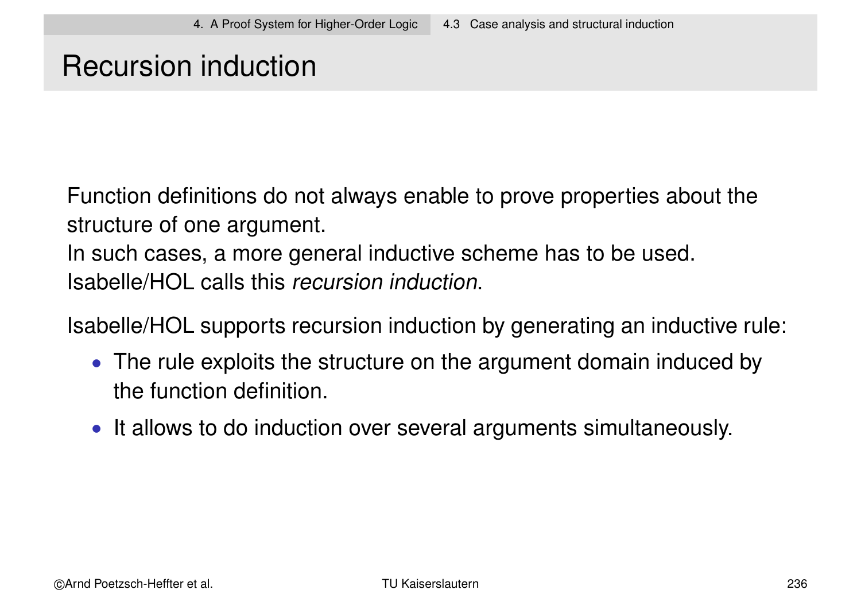### Recursion induction

Function definitions do not always enable to prove properties about the structure of one argument.

In such cases, a more general inductive scheme has to be used. Isabelle/HOL calls this recursion induction.

Isabelle/HOL supports recursion induction by generating an inductive rule:

- The rule exploits the structure on the argument domain induced by the function definition.
- It allows to do induction over several arguments simultaneously.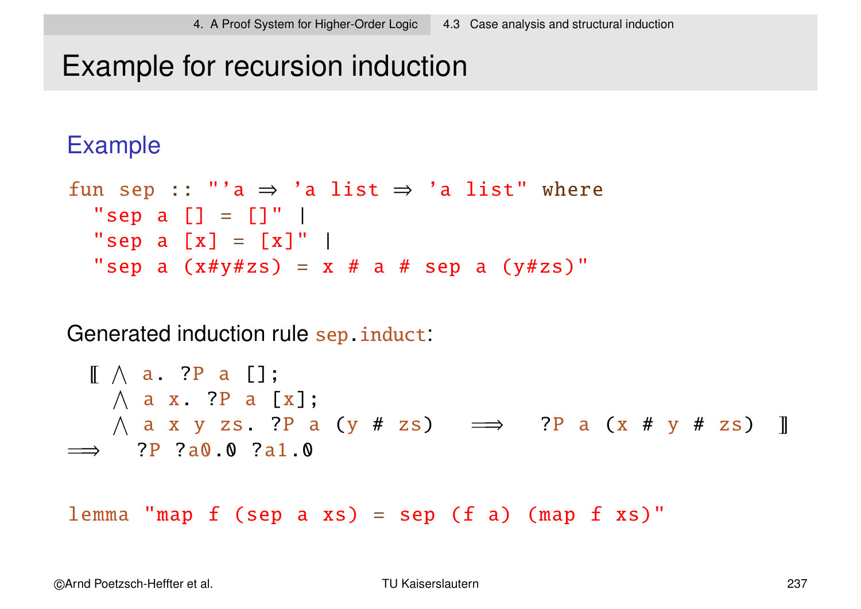### Example for recursion induction

#### Example

```
fun sep :: "'a \Rightarrow 'a list \Rightarrow 'a list" where
  "sep a [] = []" |
  "sep a [x] = [x]" |
  "sep a (x \# y \# z s) = x \# a \# sep a (y \# z s)"
```
Generated induction rule sep.induct:

~ V a. ?P a []; V a x. ?P a [x]; V a x y zs. ?P a (y # zs) =⇒ ?P a (x # y # zs) =⇒ ?P ?a0.0 ?a1.0

lemma "map  $f$  (sep a  $xs$ ) = sep ( $f$  a) (map  $f$   $xs$ )"

©Arnd Poetzsch-Heffter et al. TU Kaiserslautern 237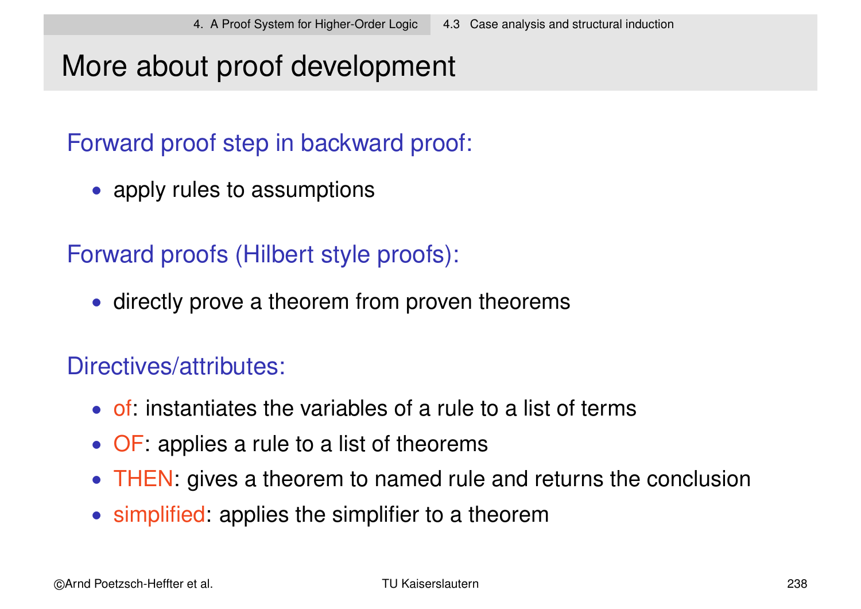### More about proof development

Forward proof step in backward proof:

• apply rules to assumptions

Forward proofs (Hilbert style proofs):

• directly prove a theorem from proven theorems

#### Directives/attributes:

- of: instantiates the variables of a rule to a list of terms
- OF: applies a rule to a list of theorems
- THEN: gives a theorem to named rule and returns the conclusion
- simplified: applies the simplifier to a theorem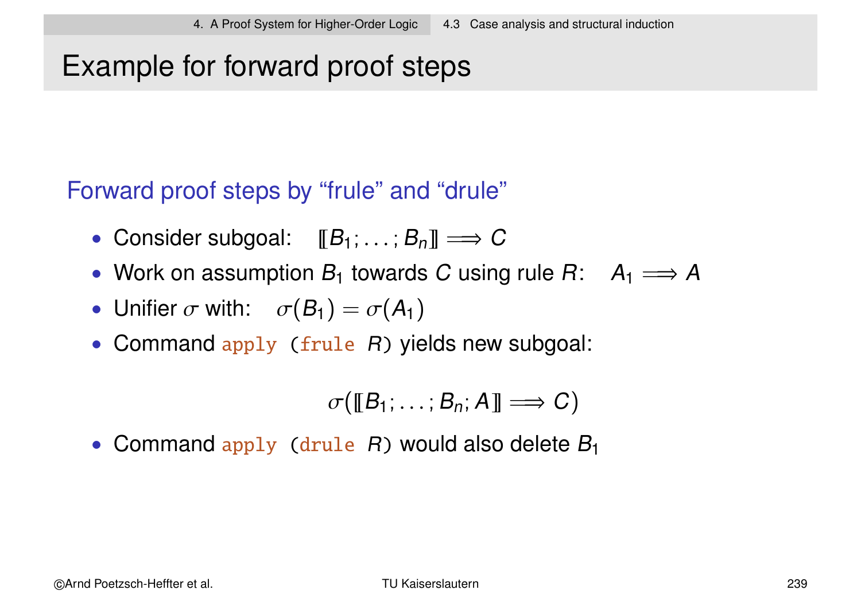# Example for forward proof steps

Forward proof steps by "frule" and "drule"

- Consider subgoal:  $[[B_1; \ldots; B_n]] \Longrightarrow C$
- Work on assumption  $B_1$  towards C using rule  $B: A_1 \longrightarrow A$
- Unifier  $\sigma$  with:  $\sigma(B_1) = \sigma(A_1)$
- Command apply (frule R) yields new subgoal:

$$
\sigma([\![B_1;\ldots;B_n;A]\!]\Longrightarrow C)
$$

• Command apply (drule  $R$ ) would also delete  $B_1$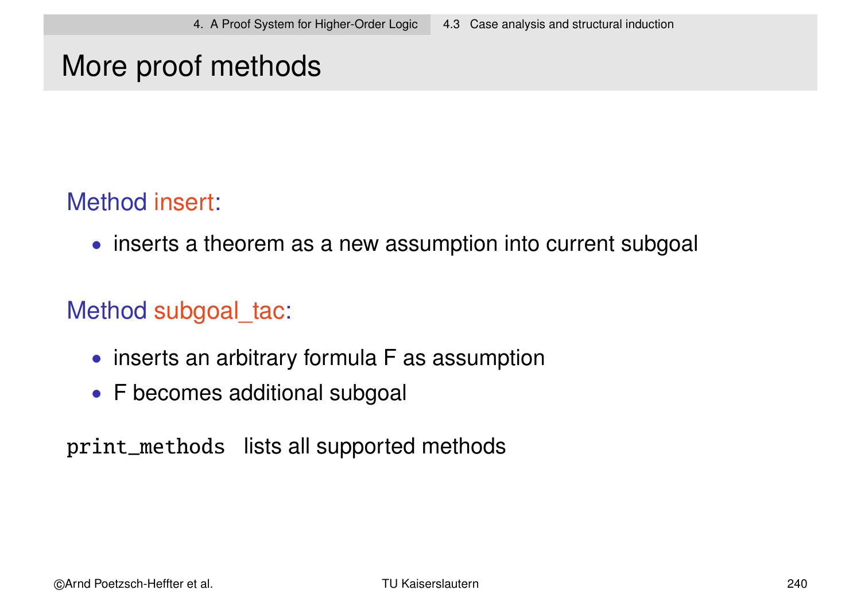### More proof methods

#### Method insert:

• inserts a theorem as a new assumption into current subgoal

#### Method subgoal tac:

- inserts an arbitrary formula F as assumption
- F becomes additional subgoal

print\_methods lists all supported methods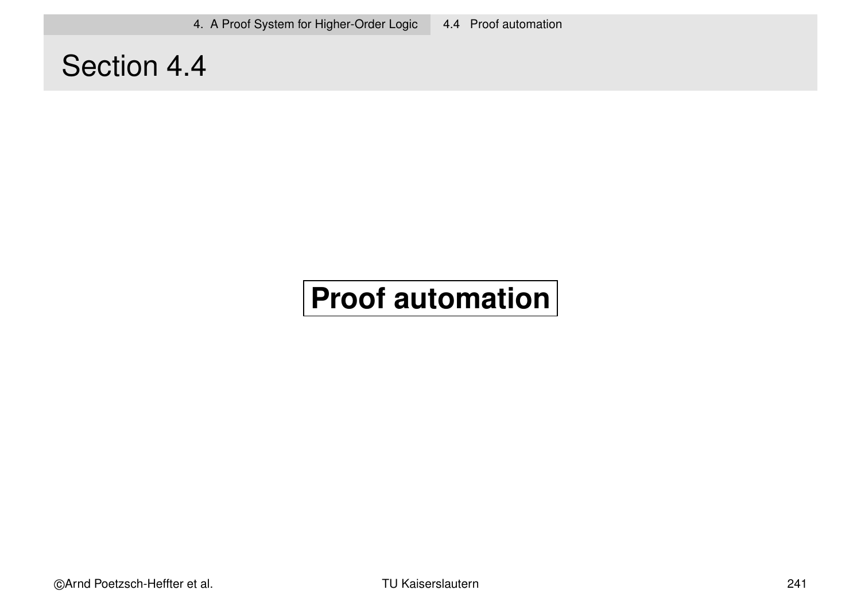### Section 4.4

# **Proof automation**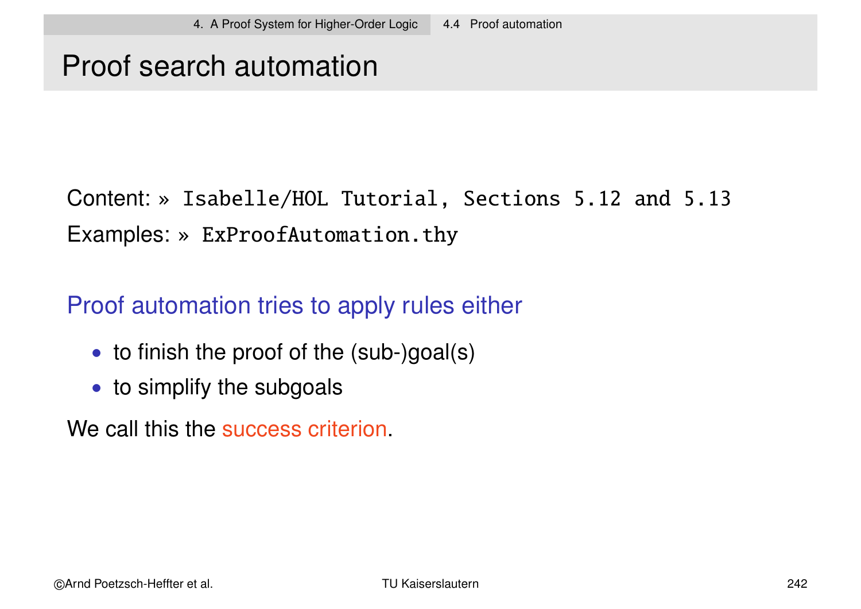### Proof search automation

### Content: » Isabelle/HOL Tutorial, Sections 5.12 and 5.13 Examples: » ExProofAutomation.thy

#### Proof automation tries to apply rules either

- to finish the proof of the (sub-)goal(s)
- to simplify the subgoals

We call this the success criterion.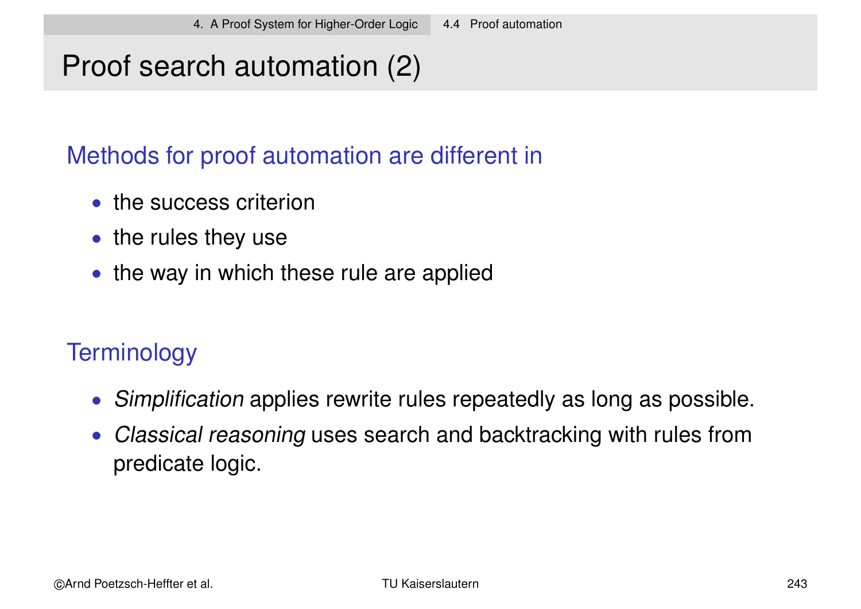# Proof search automation (2)

#### Methods for proof automation are different in

- the success criterion
- the rules they use
- the way in which these rule are applied

### **Terminology**

- Simplification applies rewrite rules repeatedly as long as possible.
- Classical reasoning uses search and backtracking with rules from predicate logic.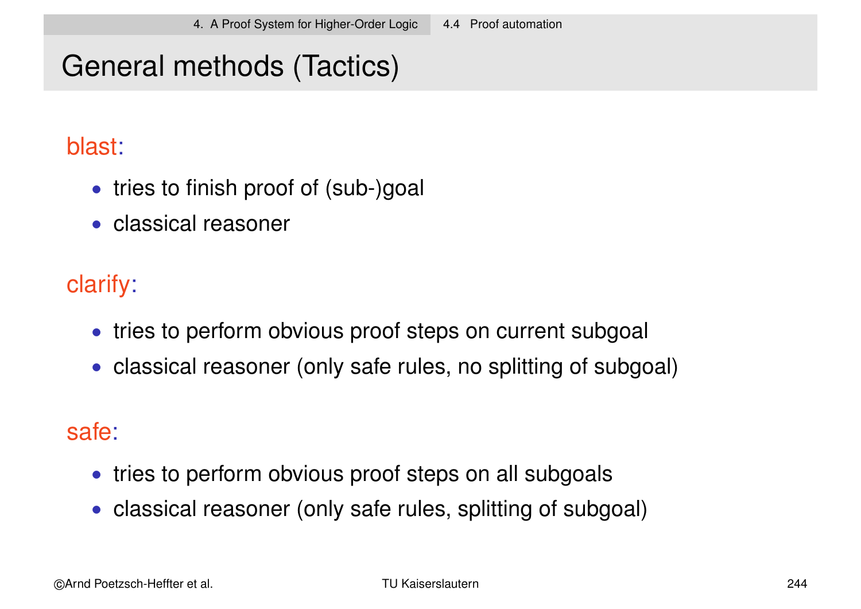# General methods (Tactics)

#### blast:

- tries to finish proof of (sub-)goal
- classical reasoner

### clarify:

- tries to perform obvious proof steps on current subgoal
- classical reasoner (only safe rules, no splitting of subgoal)

#### safe:

- tries to perform obvious proof steps on all subgoals
- classical reasoner (only safe rules, splitting of subgoal)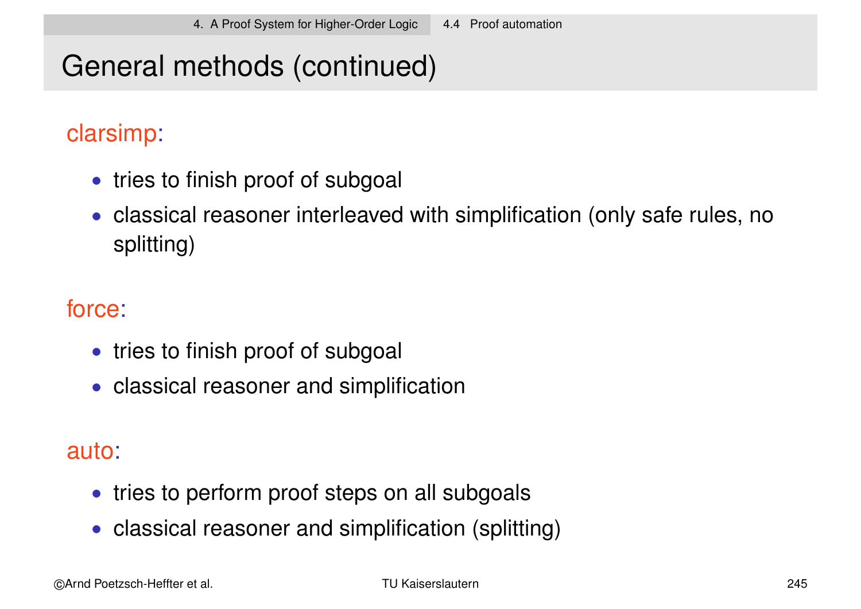# General methods (continued)

#### clarsimp:

- tries to finish proof of subgoal
- classical reasoner interleaved with simplification (only safe rules, no splitting)

#### force:

- tries to finish proof of subgoal
- classical reasoner and simplification

#### auto:

- tries to perform proof steps on all subgoals
- classical reasoner and simplification (splitting)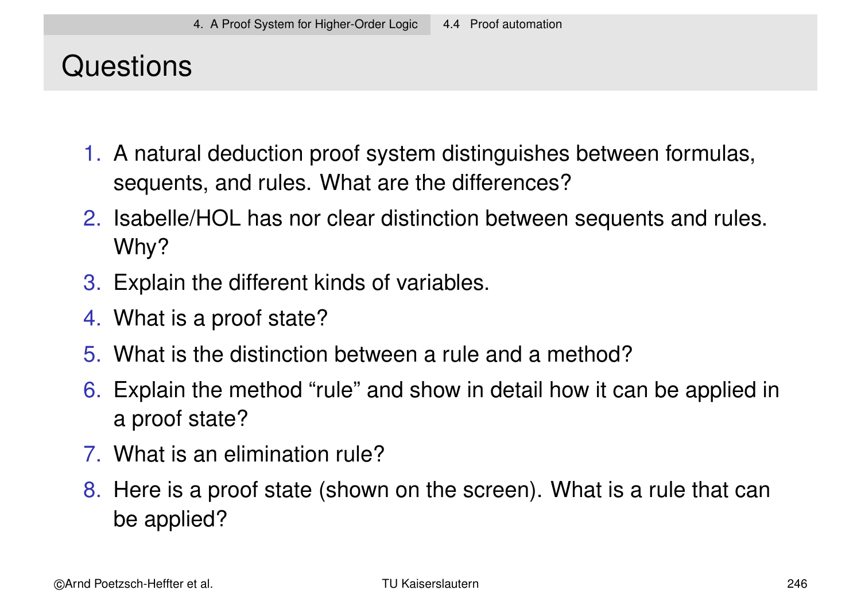### **Questions**

- 1. A natural deduction proof system distinguishes between formulas, sequents, and rules. What are the differences?
- 2. Isabelle/HOL has nor clear distinction between sequents and rules. Why?
- 3. Explain the different kinds of variables.
- 4. What is a proof state?
- 5. What is the distinction between a rule and a method?
- 6. Explain the method "rule" and show in detail how it can be applied in a proof state?
- 7. What is an elimination rule?
- 8. Here is a proof state (shown on the screen). What is a rule that can be applied?